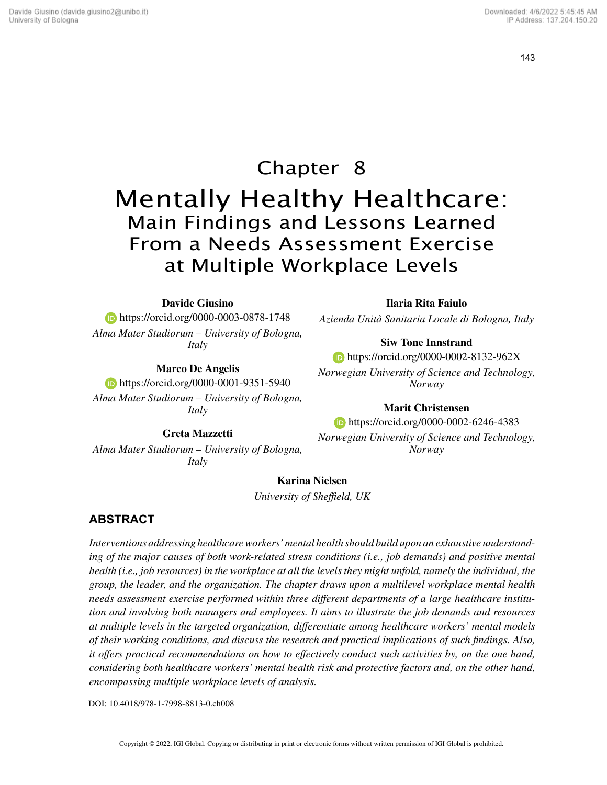# Chapter 8 Mentally Healthy Healthcare: Main Findings and Lessons Learned From a Needs Assessment Exercise at Multiple Workplace Levels

## **Davide Giusino**

**https://orcid.org/0000-0003-0878-1748** *Alma Mater Studiorum – University of Bologna, Italy*

## **Marco De Angelis**

**https://orcid.org/0000-0001-9351-5940** *Alma Mater Studiorum – University of Bologna, Italy*

## **Greta Mazzetti**

*Alma Mater Studiorum – University of Bologna, Italy*

## **Ilaria Rita Faiulo**

*Azienda Unità Sanitaria Locale di Bologna, Italy*

## **Siw Tone Innstrand**

**https://orcid.org/0000-0002-8132-962X** 

*Norwegian University of Science and Technology, Norway*

# **Marit Christensen**

**https://orcid.org/0000-0002-6246-4383** 

*Norwegian University of Science and Technology, Norway*

## **Karina Nielsen**

*University of Sheffield, UK*

# **ABSTRACT**

*Interventions addressing healthcare workers' mental health should build upon an exhaustive understanding of the major causes of both work-related stress conditions (i.e., job demands) and positive mental health (i.e., job resources) in the workplace at all the levels they might unfold, namely the individual, the group, the leader, and the organization. The chapter draws upon a multilevel workplace mental health needs assessment exercise performed within three different departments of a large healthcare institution and involving both managers and employees. It aims to illustrate the job demands and resources at multiple levels in the targeted organization, differentiate among healthcare workers' mental models of their working conditions, and discuss the research and practical implications of such findings. Also, it offers practical recommendations on how to effectively conduct such activities by, on the one hand, considering both healthcare workers' mental health risk and protective factors and, on the other hand, encompassing multiple workplace levels of analysis.*

DOI: 10.4018/978-1-7998-8813-0.ch008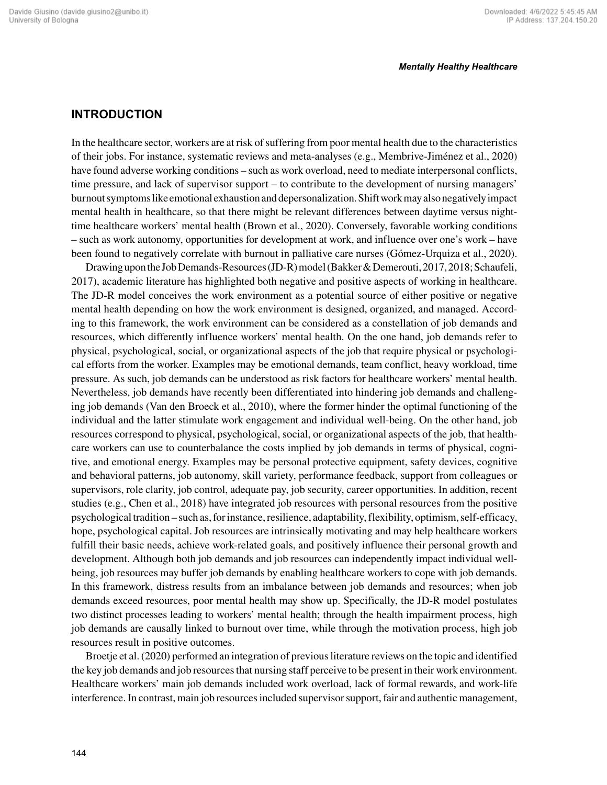# **INTRODUCTION**

In the healthcare sector, workers are at risk of suffering from poor mental health due to the characteristics of their jobs. For instance, systematic reviews and meta-analyses (e.g., Membrive-Jiménez et al., 2020) have found adverse working conditions – such as work overload, need to mediate interpersonal conflicts, time pressure, and lack of supervisor support – to contribute to the development of nursing managers' burnout symptoms like emotional exhaustion and depersonalization. Shift work may also negatively impact mental health in healthcare, so that there might be relevant differences between daytime versus nighttime healthcare workers' mental health (Brown et al., 2020). Conversely, favorable working conditions – such as work autonomy, opportunities for development at work, and influence over one's work – have been found to negatively correlate with burnout in palliative care nurses (Gómez-Urquiza et al., 2020).

Drawing upon the Job Demands-Resources (JD-R) model (Bakker & Demerouti, 2017, 2018; Schaufeli, 2017), academic literature has highlighted both negative and positive aspects of working in healthcare. The JD-R model conceives the work environment as a potential source of either positive or negative mental health depending on how the work environment is designed, organized, and managed. According to this framework, the work environment can be considered as a constellation of job demands and resources, which differently influence workers' mental health. On the one hand, job demands refer to physical, psychological, social, or organizational aspects of the job that require physical or psychological efforts from the worker. Examples may be emotional demands, team conflict, heavy workload, time pressure. As such, job demands can be understood as risk factors for healthcare workers' mental health. Nevertheless, job demands have recently been differentiated into hindering job demands and challenging job demands (Van den Broeck et al., 2010), where the former hinder the optimal functioning of the individual and the latter stimulate work engagement and individual well-being. On the other hand, job resources correspond to physical, psychological, social, or organizational aspects of the job, that healthcare workers can use to counterbalance the costs implied by job demands in terms of physical, cognitive, and emotional energy. Examples may be personal protective equipment, safety devices, cognitive and behavioral patterns, job autonomy, skill variety, performance feedback, support from colleagues or supervisors, role clarity, job control, adequate pay, job security, career opportunities. In addition, recent studies (e.g., Chen et al., 2018) have integrated job resources with personal resources from the positive psychological tradition – such as, for instance, resilience, adaptability, flexibility, optimism, self-efficacy, hope, psychological capital. Job resources are intrinsically motivating and may help healthcare workers fulfill their basic needs, achieve work-related goals, and positively influence their personal growth and development. Although both job demands and job resources can independently impact individual wellbeing, job resources may buffer job demands by enabling healthcare workers to cope with job demands. In this framework, distress results from an imbalance between job demands and resources; when job demands exceed resources, poor mental health may show up. Specifically, the JD-R model postulates two distinct processes leading to workers' mental health; through the health impairment process, high job demands are causally linked to burnout over time, while through the motivation process, high job resources result in positive outcomes.

Broetje et al. (2020) performed an integration of previous literature reviews on the topic and identified the key job demands and job resources that nursing staff perceive to be present in their work environment. Healthcare workers' main job demands included work overload, lack of formal rewards, and work-life interference. In contrast, main job resources included supervisor support, fair and authentic management,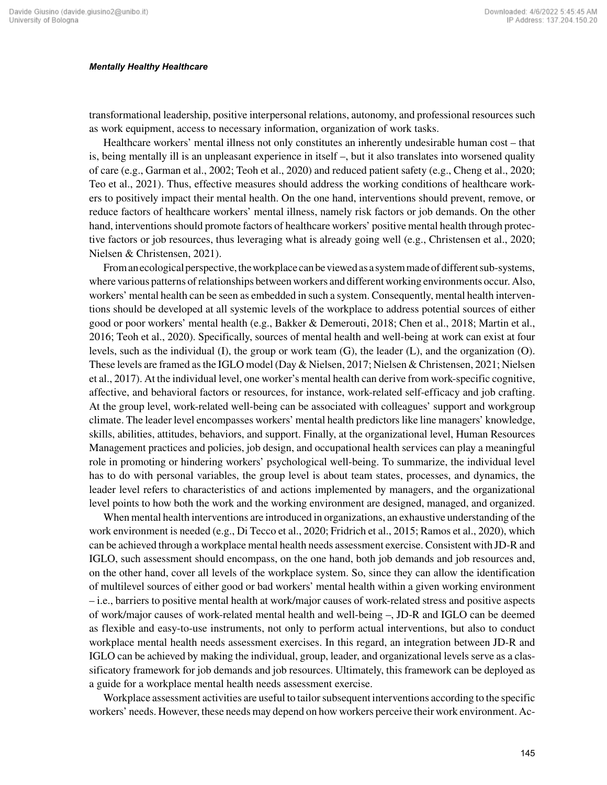transformational leadership, positive interpersonal relations, autonomy, and professional resources such as work equipment, access to necessary information, organization of work tasks.

Healthcare workers' mental illness not only constitutes an inherently undesirable human cost – that is, being mentally ill is an unpleasant experience in itself –, but it also translates into worsened quality of care (e.g., Garman et al., 2002; Teoh et al., 2020) and reduced patient safety (e.g., Cheng et al., 2020; Teo et al., 2021). Thus, effective measures should address the working conditions of healthcare workers to positively impact their mental health. On the one hand, interventions should prevent, remove, or reduce factors of healthcare workers' mental illness, namely risk factors or job demands. On the other hand, interventions should promote factors of healthcare workers' positive mental health through protective factors or job resources, thus leveraging what is already going well (e.g., Christensen et al., 2020; Nielsen & Christensen, 2021).

From an ecological perspective, the workplace can be viewed as a system made of different sub-systems, where various patterns of relationships between workers and different working environments occur. Also, workers' mental health can be seen as embedded in such a system. Consequently, mental health interventions should be developed at all systemic levels of the workplace to address potential sources of either good or poor workers' mental health (e.g., Bakker & Demerouti, 2018; Chen et al., 2018; Martin et al., 2016; Teoh et al., 2020). Specifically, sources of mental health and well-being at work can exist at four levels, such as the individual (I), the group or work team (G), the leader (L), and the organization (O). These levels are framed as the IGLO model (Day & Nielsen, 2017; Nielsen & Christensen, 2021; Nielsen et al., 2017). At the individual level, one worker's mental health can derive from work-specific cognitive, affective, and behavioral factors or resources, for instance, work-related self-efficacy and job crafting. At the group level, work-related well-being can be associated with colleagues' support and workgroup climate. The leader level encompasses workers' mental health predictors like line managers' knowledge, skills, abilities, attitudes, behaviors, and support. Finally, at the organizational level, Human Resources Management practices and policies, job design, and occupational health services can play a meaningful role in promoting or hindering workers' psychological well-being. To summarize, the individual level has to do with personal variables, the group level is about team states, processes, and dynamics, the leader level refers to characteristics of and actions implemented by managers, and the organizational level points to how both the work and the working environment are designed, managed, and organized.

When mental health interventions are introduced in organizations, an exhaustive understanding of the work environment is needed (e.g., Di Tecco et al., 2020; Fridrich et al., 2015; Ramos et al., 2020), which can be achieved through a workplace mental health needs assessment exercise. Consistent with JD-R and IGLO, such assessment should encompass, on the one hand, both job demands and job resources and, on the other hand, cover all levels of the workplace system. So, since they can allow the identification of multilevel sources of either good or bad workers' mental health within a given working environment – i.e., barriers to positive mental health at work/major causes of work-related stress and positive aspects of work/major causes of work-related mental health and well-being –, JD-R and IGLO can be deemed as flexible and easy-to-use instruments, not only to perform actual interventions, but also to conduct workplace mental health needs assessment exercises. In this regard, an integration between JD-R and IGLO can be achieved by making the individual, group, leader, and organizational levels serve as a classificatory framework for job demands and job resources. Ultimately, this framework can be deployed as a guide for a workplace mental health needs assessment exercise.

Workplace assessment activities are useful to tailor subsequent interventions according to the specific workers' needs. However, these needs may depend on how workers perceive their work environment. Ac-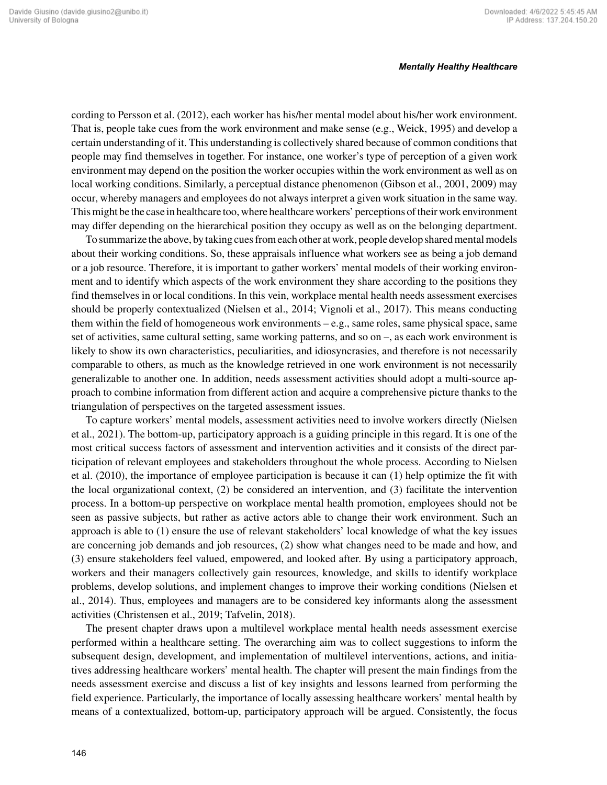cording to Persson et al. (2012), each worker has his/her mental model about his/her work environment. That is, people take cues from the work environment and make sense (e.g., Weick, 1995) and develop a certain understanding of it. This understanding is collectively shared because of common conditions that people may find themselves in together. For instance, one worker's type of perception of a given work environment may depend on the position the worker occupies within the work environment as well as on local working conditions. Similarly, a perceptual distance phenomenon (Gibson et al., 2001, 2009) may occur, whereby managers and employees do not always interpret a given work situation in the same way. This might be the case in healthcare too, where healthcare workers' perceptions of their work environment may differ depending on the hierarchical position they occupy as well as on the belonging department.

To summarize the above, by taking cues from each other at work, people develop shared mental models about their working conditions. So, these appraisals influence what workers see as being a job demand or a job resource. Therefore, it is important to gather workers' mental models of their working environment and to identify which aspects of the work environment they share according to the positions they find themselves in or local conditions. In this vein, workplace mental health needs assessment exercises should be properly contextualized (Nielsen et al., 2014; Vignoli et al., 2017). This means conducting them within the field of homogeneous work environments  $-e.g.,$  same roles, same physical space, same set of activities, same cultural setting, same working patterns, and so on –, as each work environment is likely to show its own characteristics, peculiarities, and idiosyncrasies, and therefore is not necessarily comparable to others, as much as the knowledge retrieved in one work environment is not necessarily generalizable to another one. In addition, needs assessment activities should adopt a multi-source approach to combine information from different action and acquire a comprehensive picture thanks to the triangulation of perspectives on the targeted assessment issues.

To capture workers' mental models, assessment activities need to involve workers directly (Nielsen et al., 2021). The bottom-up, participatory approach is a guiding principle in this regard. It is one of the most critical success factors of assessment and intervention activities and it consists of the direct participation of relevant employees and stakeholders throughout the whole process. According to Nielsen et al. (2010), the importance of employee participation is because it can (1) help optimize the fit with the local organizational context, (2) be considered an intervention, and (3) facilitate the intervention process. In a bottom-up perspective on workplace mental health promotion, employees should not be seen as passive subjects, but rather as active actors able to change their work environment. Such an approach is able to (1) ensure the use of relevant stakeholders' local knowledge of what the key issues are concerning job demands and job resources, (2) show what changes need to be made and how, and (3) ensure stakeholders feel valued, empowered, and looked after. By using a participatory approach, workers and their managers collectively gain resources, knowledge, and skills to identify workplace problems, develop solutions, and implement changes to improve their working conditions (Nielsen et al., 2014). Thus, employees and managers are to be considered key informants along the assessment activities (Christensen et al., 2019; Tafvelin, 2018).

The present chapter draws upon a multilevel workplace mental health needs assessment exercise performed within a healthcare setting. The overarching aim was to collect suggestions to inform the subsequent design, development, and implementation of multilevel interventions, actions, and initiatives addressing healthcare workers' mental health. The chapter will present the main findings from the needs assessment exercise and discuss a list of key insights and lessons learned from performing the field experience. Particularly, the importance of locally assessing healthcare workers' mental health by means of a contextualized, bottom-up, participatory approach will be argued. Consistently, the focus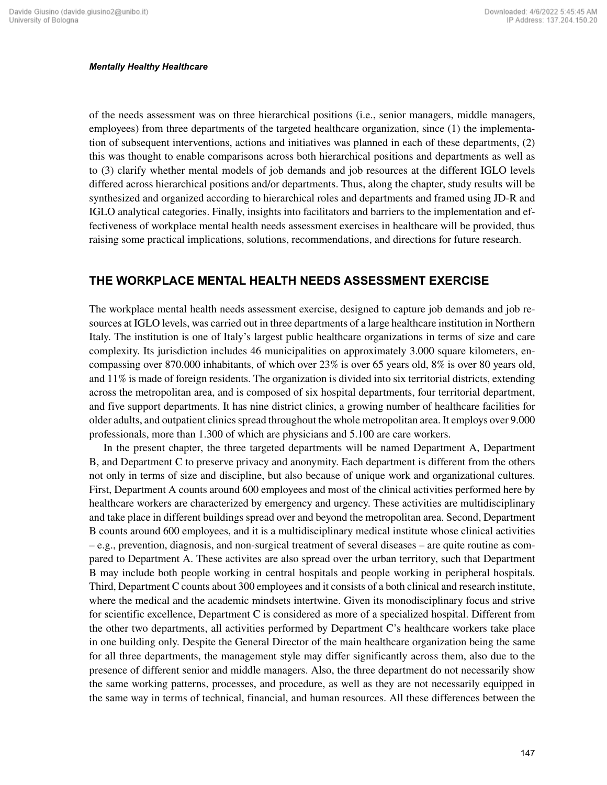of the needs assessment was on three hierarchical positions (i.e., senior managers, middle managers, employees) from three departments of the targeted healthcare organization, since (1) the implementation of subsequent interventions, actions and initiatives was planned in each of these departments, (2) this was thought to enable comparisons across both hierarchical positions and departments as well as to (3) clarify whether mental models of job demands and job resources at the different IGLO levels differed across hierarchical positions and/or departments. Thus, along the chapter, study results will be synthesized and organized according to hierarchical roles and departments and framed using JD-R and IGLO analytical categories. Finally, insights into facilitators and barriers to the implementation and effectiveness of workplace mental health needs assessment exercises in healthcare will be provided, thus raising some practical implications, solutions, recommendations, and directions for future research.

# **THE WORKPLACE MENTAL HEALTH NEEDS ASSESSMENT EXERCISE**

The workplace mental health needs assessment exercise, designed to capture job demands and job resources at IGLO levels, was carried out in three departments of a large healthcare institution in Northern Italy. The institution is one of Italy's largest public healthcare organizations in terms of size and care complexity. Its jurisdiction includes 46 municipalities on approximately 3.000 square kilometers, encompassing over 870.000 inhabitants, of which over 23% is over 65 years old, 8% is over 80 years old, and 11% is made of foreign residents. The organization is divided into six territorial districts, extending across the metropolitan area, and is composed of six hospital departments, four territorial department, and five support departments. It has nine district clinics, a growing number of healthcare facilities for older adults, and outpatient clinics spread throughout the whole metropolitan area. It employs over 9.000 professionals, more than 1.300 of which are physicians and 5.100 are care workers.

In the present chapter, the three targeted departments will be named Department A, Department B, and Department C to preserve privacy and anonymity. Each department is different from the others not only in terms of size and discipline, but also because of unique work and organizational cultures. First, Department A counts around 600 employees and most of the clinical activities performed here by healthcare workers are characterized by emergency and urgency. These activities are multidisciplinary and take place in different buildings spread over and beyond the metropolitan area. Second, Department B counts around 600 employees, and it is a multidisciplinary medical institute whose clinical activities – e.g., prevention, diagnosis, and non-surgical treatment of several diseases – are quite routine as compared to Department A. These activites are also spread over the urban territory, such that Department B may include both people working in central hospitals and people working in peripheral hospitals. Third, Department C counts about 300 employees and it consists of a both clinical and research institute, where the medical and the academic mindsets intertwine. Given its monodisciplinary focus and strive for scientific excellence, Department C is considered as more of a specialized hospital. Different from the other two departments, all activities performed by Department C's healthcare workers take place in one building only. Despite the General Director of the main healthcare organization being the same for all three departments, the management style may differ significantly across them, also due to the presence of different senior and middle managers. Also, the three department do not necessarily show the same working patterns, processes, and procedure, as well as they are not necessarily equipped in the same way in terms of technical, financial, and human resources. All these differences between the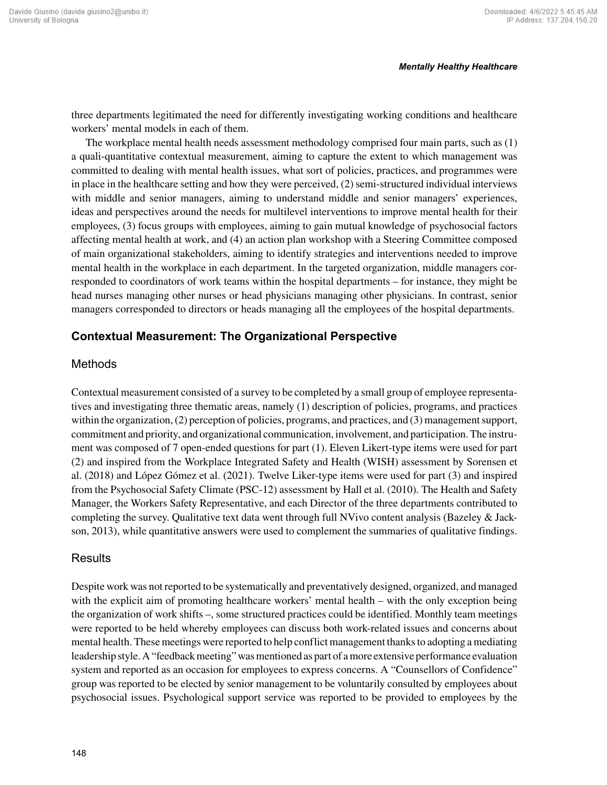three departments legitimated the need for differently investigating working conditions and healthcare workers' mental models in each of them.

The workplace mental health needs assessment methodology comprised four main parts, such as (1) a quali-quantitative contextual measurement, aiming to capture the extent to which management was committed to dealing with mental health issues, what sort of policies, practices, and programmes were in place in the healthcare setting and how they were perceived, (2) semi-structured individual interviews with middle and senior managers, aiming to understand middle and senior managers' experiences, ideas and perspectives around the needs for multilevel interventions to improve mental health for their employees, (3) focus groups with employees, aiming to gain mutual knowledge of psychosocial factors affecting mental health at work, and (4) an action plan workshop with a Steering Committee composed of main organizational stakeholders, aiming to identify strategies and interventions needed to improve mental health in the workplace in each department. In the targeted organization, middle managers corresponded to coordinators of work teams within the hospital departments – for instance, they might be head nurses managing other nurses or head physicians managing other physicians. In contrast, senior managers corresponded to directors or heads managing all the employees of the hospital departments.

# **Contextual Measurement: The Organizational Perspective**

## **Methods**

Contextual measurement consisted of a survey to be completed by a small group of employee representatives and investigating three thematic areas, namely (1) description of policies, programs, and practices within the organization, (2) perception of policies, programs, and practices, and (3) management support, commitment and priority, and organizational communication, involvement, and participation. The instrument was composed of 7 open-ended questions for part (1). Eleven Likert-type items were used for part (2) and inspired from the Workplace Integrated Safety and Health (WISH) assessment by Sorensen et al. (2018) and López Gómez et al. (2021). Twelve Liker-type items were used for part (3) and inspired from the Psychosocial Safety Climate (PSC-12) assessment by Hall et al. (2010). The Health and Safety Manager, the Workers Safety Representative, and each Director of the three departments contributed to completing the survey. Qualitative text data went through full NVivo content analysis (Bazeley & Jackson, 2013), while quantitative answers were used to complement the summaries of qualitative findings.

# **Results**

Despite work was not reported to be systematically and preventatively designed, organized, and managed with the explicit aim of promoting healthcare workers' mental health – with the only exception being the organization of work shifts –, some structured practices could be identified. Monthly team meetings were reported to be held whereby employees can discuss both work-related issues and concerns about mental health. These meetings were reported to help conflict management thanks to adopting a mediating leadership style. A "feedback meeting" was mentioned as part of a more extensive performance evaluation system and reported as an occasion for employees to express concerns. A "Counsellors of Confidence" group was reported to be elected by senior management to be voluntarily consulted by employees about psychosocial issues. Psychological support service was reported to be provided to employees by the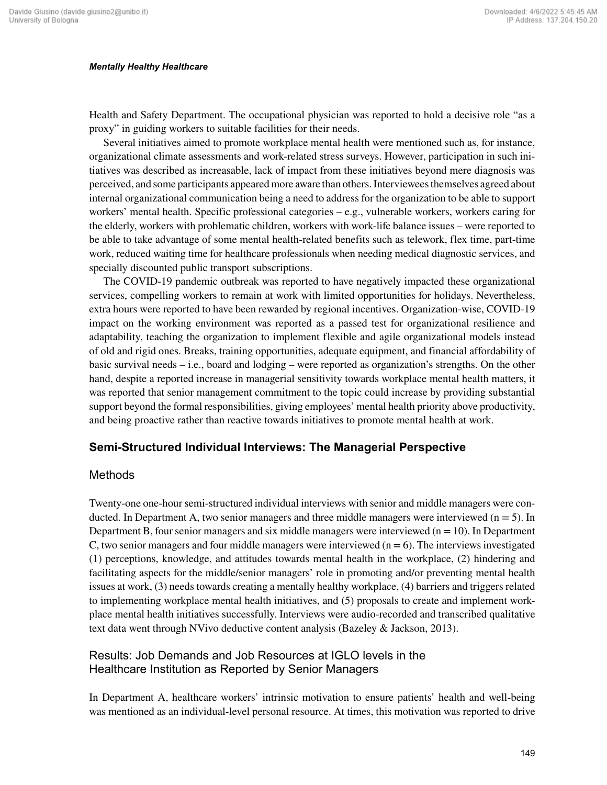Health and Safety Department. The occupational physician was reported to hold a decisive role "as a proxy" in guiding workers to suitable facilities for their needs.

Several initiatives aimed to promote workplace mental health were mentioned such as, for instance, organizational climate assessments and work-related stress surveys. However, participation in such initiatives was described as increasable, lack of impact from these initiatives beyond mere diagnosis was perceived, and some participants appeared more aware than others. Interviewees themselves agreed about internal organizational communication being a need to address for the organization to be able to support workers' mental health. Specific professional categories – e.g., vulnerable workers, workers caring for the elderly, workers with problematic children, workers with work-life balance issues – were reported to be able to take advantage of some mental health-related benefits such as telework, flex time, part-time work, reduced waiting time for healthcare professionals when needing medical diagnostic services, and specially discounted public transport subscriptions.

The COVID-19 pandemic outbreak was reported to have negatively impacted these organizational services, compelling workers to remain at work with limited opportunities for holidays. Nevertheless, extra hours were reported to have been rewarded by regional incentives. Organization-wise, COVID-19 impact on the working environment was reported as a passed test for organizational resilience and adaptability, teaching the organization to implement flexible and agile organizational models instead of old and rigid ones. Breaks, training opportunities, adequate equipment, and financial affordability of basic survival needs – i.e., board and lodging – were reported as organization's strengths. On the other hand, despite a reported increase in managerial sensitivity towards workplace mental health matters, it was reported that senior management commitment to the topic could increase by providing substantial support beyond the formal responsibilities, giving employees' mental health priority above productivity, and being proactive rather than reactive towards initiatives to promote mental health at work.

# **Semi-Structured Individual Interviews: The Managerial Perspective**

# Methods

Twenty-one one-hour semi-structured individual interviews with senior and middle managers were conducted. In Department A, two senior managers and three middle managers were interviewed  $(n = 5)$ . In Department B, four senior managers and six middle managers were interviewed  $(n = 10)$ . In Department C, two senior managers and four middle managers were interviewed  $(n = 6)$ . The interviews investigated (1) perceptions, knowledge, and attitudes towards mental health in the workplace, (2) hindering and facilitating aspects for the middle/senior managers' role in promoting and/or preventing mental health issues at work, (3) needs towards creating a mentally healthy workplace, (4) barriers and triggers related to implementing workplace mental health initiatives, and (5) proposals to create and implement workplace mental health initiatives successfully. Interviews were audio-recorded and transcribed qualitative text data went through NVivo deductive content analysis (Bazeley & Jackson, 2013).

# Results: Job Demands and Job Resources at IGLO levels in the Healthcare Institution as Reported by Senior Managers

In Department A, healthcare workers' intrinsic motivation to ensure patients' health and well-being was mentioned as an individual-level personal resource. At times, this motivation was reported to drive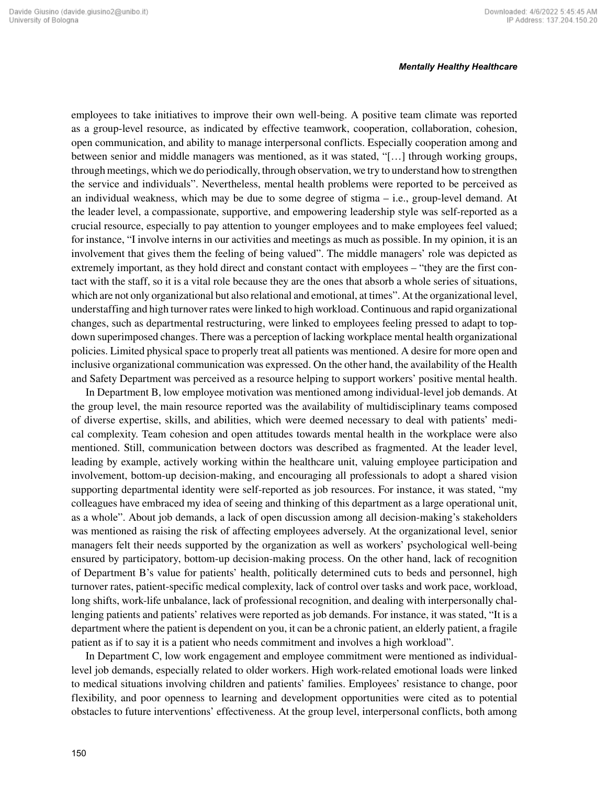employees to take initiatives to improve their own well-being. A positive team climate was reported as a group-level resource, as indicated by effective teamwork, cooperation, collaboration, cohesion, open communication, and ability to manage interpersonal conflicts. Especially cooperation among and between senior and middle managers was mentioned, as it was stated, "[…] through working groups, through meetings, which we do periodically, through observation, we try to understand how to strengthen the service and individuals". Nevertheless, mental health problems were reported to be perceived as an individual weakness, which may be due to some degree of stigma – i.e., group-level demand. At the leader level, a compassionate, supportive, and empowering leadership style was self-reported as a crucial resource, especially to pay attention to younger employees and to make employees feel valued; for instance, "I involve interns in our activities and meetings as much as possible. In my opinion, it is an involvement that gives them the feeling of being valued". The middle managers' role was depicted as extremely important, as they hold direct and constant contact with employees – "they are the first contact with the staff, so it is a vital role because they are the ones that absorb a whole series of situations, which are not only organizational but also relational and emotional, at times". At the organizational level, understaffing and high turnover rates were linked to high workload. Continuous and rapid organizational changes, such as departmental restructuring, were linked to employees feeling pressed to adapt to topdown superimposed changes. There was a perception of lacking workplace mental health organizational policies. Limited physical space to properly treat all patients was mentioned. A desire for more open and inclusive organizational communication was expressed. On the other hand, the availability of the Health and Safety Department was perceived as a resource helping to support workers' positive mental health.

In Department B, low employee motivation was mentioned among individual-level job demands. At the group level, the main resource reported was the availability of multidisciplinary teams composed of diverse expertise, skills, and abilities, which were deemed necessary to deal with patients' medical complexity. Team cohesion and open attitudes towards mental health in the workplace were also mentioned. Still, communication between doctors was described as fragmented. At the leader level, leading by example, actively working within the healthcare unit, valuing employee participation and involvement, bottom-up decision-making, and encouraging all professionals to adopt a shared vision supporting departmental identity were self-reported as job resources. For instance, it was stated, "my colleagues have embraced my idea of seeing and thinking of this department as a large operational unit, as a whole". About job demands, a lack of open discussion among all decision-making's stakeholders was mentioned as raising the risk of affecting employees adversely. At the organizational level, senior managers felt their needs supported by the organization as well as workers' psychological well-being ensured by participatory, bottom-up decision-making process. On the other hand, lack of recognition of Department B's value for patients' health, politically determined cuts to beds and personnel, high turnover rates, patient-specific medical complexity, lack of control over tasks and work pace, workload, long shifts, work-life unbalance, lack of professional recognition, and dealing with interpersonally challenging patients and patients' relatives were reported as job demands. For instance, it was stated, "It is a department where the patient is dependent on you, it can be a chronic patient, an elderly patient, a fragile patient as if to say it is a patient who needs commitment and involves a high workload".

In Department C, low work engagement and employee commitment were mentioned as individuallevel job demands, especially related to older workers. High work-related emotional loads were linked to medical situations involving children and patients' families. Employees' resistance to change, poor flexibility, and poor openness to learning and development opportunities were cited as to potential obstacles to future interventions' effectiveness. At the group level, interpersonal conflicts, both among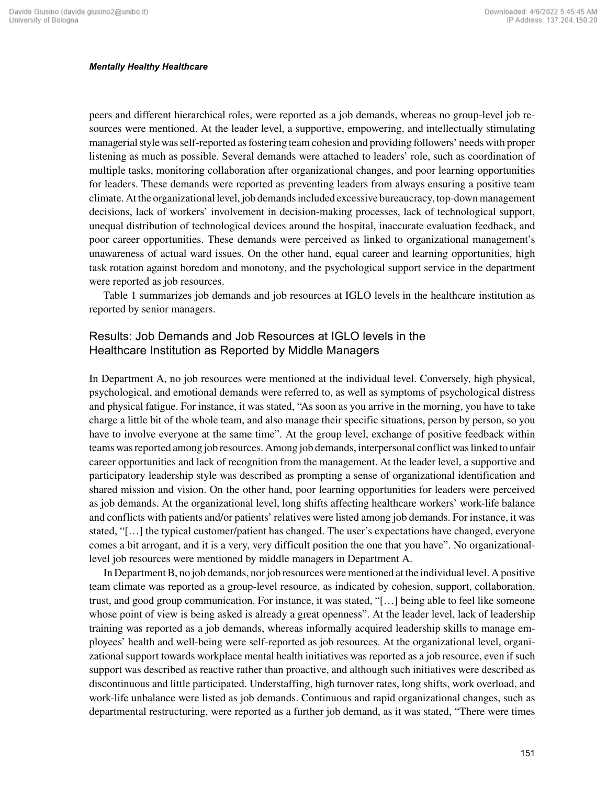peers and different hierarchical roles, were reported as a job demands, whereas no group-level job resources were mentioned. At the leader level, a supportive, empowering, and intellectually stimulating managerial style was self-reported as fostering team cohesion and providing followers' needs with proper listening as much as possible. Several demands were attached to leaders' role, such as coordination of multiple tasks, monitoring collaboration after organizational changes, and poor learning opportunities for leaders. These demands were reported as preventing leaders from always ensuring a positive team climate. At the organizational level, job demands included excessive bureaucracy, top-down management decisions, lack of workers' involvement in decision-making processes, lack of technological support, unequal distribution of technological devices around the hospital, inaccurate evaluation feedback, and poor career opportunities. These demands were perceived as linked to organizational management's unawareness of actual ward issues. On the other hand, equal career and learning opportunities, high task rotation against boredom and monotony, and the psychological support service in the department were reported as job resources.

Table 1 summarizes job demands and job resources at IGLO levels in the healthcare institution as reported by senior managers.

# Results: Job Demands and Job Resources at IGLO levels in the Healthcare Institution as Reported by Middle Managers

In Department A, no job resources were mentioned at the individual level. Conversely, high physical, psychological, and emotional demands were referred to, as well as symptoms of psychological distress and physical fatigue. For instance, it was stated, "As soon as you arrive in the morning, you have to take charge a little bit of the whole team, and also manage their specific situations, person by person, so you have to involve everyone at the same time". At the group level, exchange of positive feedback within teams was reported among job resources. Among job demands, interpersonal conflict was linked to unfair career opportunities and lack of recognition from the management. At the leader level, a supportive and participatory leadership style was described as prompting a sense of organizational identification and shared mission and vision. On the other hand, poor learning opportunities for leaders were perceived as job demands. At the organizational level, long shifts affecting healthcare workers' work-life balance and conflicts with patients and/or patients' relatives were listed among job demands. For instance, it was stated, "[…] the typical customer/patient has changed. The user's expectations have changed, everyone comes a bit arrogant, and it is a very, very difficult position the one that you have". No organizationallevel job resources were mentioned by middle managers in Department A.

In Department B, no job demands, nor job resources were mentioned at the individual level. A positive team climate was reported as a group-level resource, as indicated by cohesion, support, collaboration, trust, and good group communication. For instance, it was stated, "[…] being able to feel like someone whose point of view is being asked is already a great openness". At the leader level, lack of leadership training was reported as a job demands, whereas informally acquired leadership skills to manage employees' health and well-being were self-reported as job resources. At the organizational level, organizational support towards workplace mental health initiatives was reported as a job resource, even if such support was described as reactive rather than proactive, and although such initiatives were described as discontinuous and little participated. Understaffing, high turnover rates, long shifts, work overload, and work-life unbalance were listed as job demands. Continuous and rapid organizational changes, such as departmental restructuring, were reported as a further job demand, as it was stated, "There were times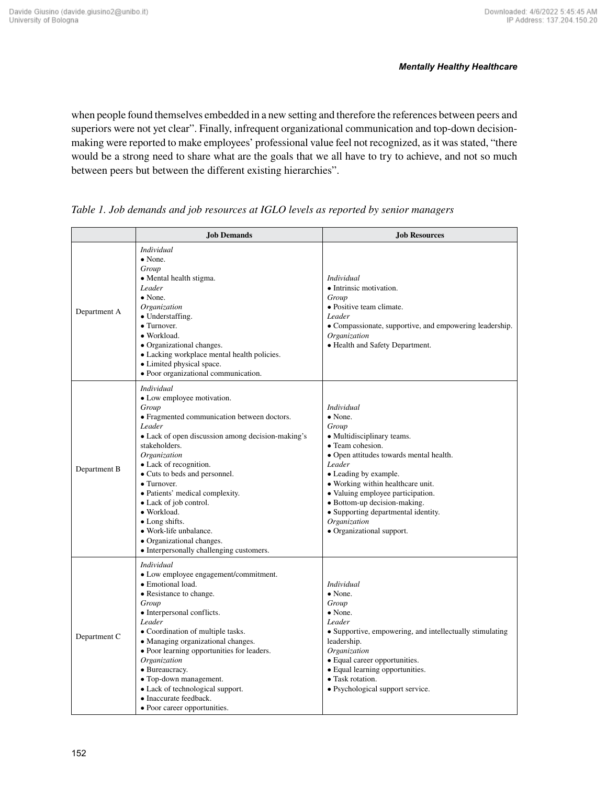when people found themselves embedded in a new setting and therefore the references between peers and superiors were not yet clear". Finally, infrequent organizational communication and top-down decisionmaking were reported to make employees' professional value feel not recognized, as it was stated, "there would be a strong need to share what are the goals that we all have to try to achieve, and not so much between peers but between the different existing hierarchies".

|              | <b>Job Demands</b>                                                                                                                                                                                                                                                                                                                                                                                                                                                                 | <b>Job Resources</b>                                                                                                                                                                                                                                                                                                                                                        |
|--------------|------------------------------------------------------------------------------------------------------------------------------------------------------------------------------------------------------------------------------------------------------------------------------------------------------------------------------------------------------------------------------------------------------------------------------------------------------------------------------------|-----------------------------------------------------------------------------------------------------------------------------------------------------------------------------------------------------------------------------------------------------------------------------------------------------------------------------------------------------------------------------|
| Department A | <i>Individual</i><br>$\bullet$ None.<br>Group<br>• Mental health stigma.<br>Leader<br>$\bullet$ None.<br>Organization<br>• Understaffing.<br>• Turnover.<br>· Workload.<br>· Organizational changes.<br>• Lacking workplace mental health policies.<br>• Limited physical space.<br>• Poor organizational communication.                                                                                                                                                           | <i>Individual</i><br>• Intrinsic motivation.<br>Group<br>• Positive team climate.<br>Leader<br>• Compassionate, supportive, and empowering leadership.<br>Organization<br>• Health and Safety Department.                                                                                                                                                                   |
| Department B | <b>Individual</b><br>• Low employee motivation.<br>Group<br>• Fragmented communication between doctors.<br>Leader<br>• Lack of open discussion among decision-making's<br>stakeholders.<br>Organization<br>• Lack of recognition.<br>• Cuts to beds and personnel.<br>• Turnover.<br>• Patients' medical complexity.<br>• Lack of job control.<br>· Workload.<br>• Long shifts.<br>· Work-life unbalance.<br>• Organizational changes.<br>• Interpersonally challenging customers. | <i>Individual</i><br>$\bullet$ None.<br>Group<br>• Multidisciplinary teams.<br>• Team cohesion.<br>• Open attitudes towards mental health.<br>Leader<br>• Leading by example.<br>• Working within healthcare unit.<br>• Valuing employee participation.<br>• Bottom-up decision-making.<br>• Supporting departmental identity.<br>Organization<br>• Organizational support. |
| Department C | <i>Individual</i><br>• Low employee engagement/commitment.<br>· Emotional load.<br>• Resistance to change.<br>Group<br>• Interpersonal conflicts.<br>Leader<br>• Coordination of multiple tasks.<br>• Managing organizational changes.<br>• Poor learning opportunities for leaders.<br>Organization<br>• Bureaucracy.<br>• Top-down management.<br>• Lack of technological support.<br>• Inaccurate feedback.<br>• Poor career opportunities.                                     | Individual<br>$\bullet$ None.<br>Group<br>$\bullet$ None.<br>Leader<br>• Supportive, empowering, and intellectually stimulating<br>leadership.<br>Organization<br>• Equal career opportunities.<br>• Equal learning opportunities.<br>• Task rotation.<br>• Psychological support service.                                                                                  |

*Table 1. Job demands and job resources at IGLO levels as reported by senior managers*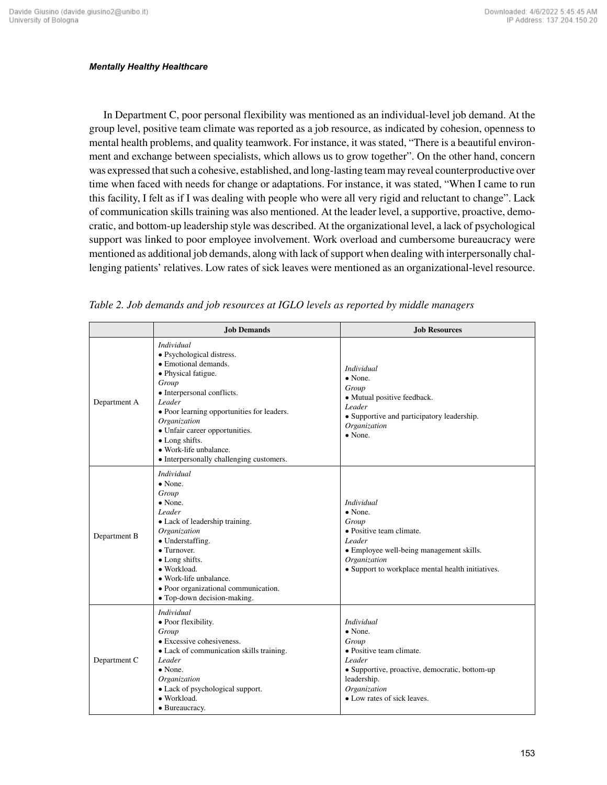In Department C, poor personal flexibility was mentioned as an individual-level job demand. At the group level, positive team climate was reported as a job resource, as indicated by cohesion, openness to mental health problems, and quality teamwork. For instance, it was stated, "There is a beautiful environment and exchange between specialists, which allows us to grow together". On the other hand, concern was expressed that such a cohesive, established, and long-lasting team may reveal counterproductive over time when faced with needs for change or adaptations. For instance, it was stated, "When I came to run this facility, I felt as if I was dealing with people who were all very rigid and reluctant to change". Lack of communication skills training was also mentioned. At the leader level, a supportive, proactive, democratic, and bottom-up leadership style was described. At the organizational level, a lack of psychological support was linked to poor employee involvement. Work overload and cumbersome bureaucracy were mentioned as additional job demands, along with lack of support when dealing with interpersonally challenging patients' relatives. Low rates of sick leaves were mentioned as an organizational-level resource.

|              | <b>Job Demands</b>                                                                                                                                                                                                                                                                                                                     | <b>Job Resources</b>                                                                                                                                                                                 |
|--------------|----------------------------------------------------------------------------------------------------------------------------------------------------------------------------------------------------------------------------------------------------------------------------------------------------------------------------------------|------------------------------------------------------------------------------------------------------------------------------------------------------------------------------------------------------|
| Department A | <b>Individual</b><br>· Psychological distress.<br>• Emotional demands.<br>• Physical fatigue.<br>Group<br>• Interpersonal conflicts.<br>Leader<br>• Poor learning opportunities for leaders.<br>Organization<br>• Unfair career opportunities.<br>• Long shifts.<br>• Work-life unbalance.<br>• Interpersonally challenging customers. | <i>Individual</i><br>$\bullet$ None.<br>Group<br>• Mutual positive feedback.<br>Leader<br>• Supportive and participatory leadership.<br>Organization<br>$\bullet$ None.                              |
| Department B | <i>Individual</i><br>$\bullet$ None.<br>Group<br>$\bullet$ None.<br>Leader<br>• Lack of leadership training.<br>Organization<br>• Understaffing.<br>• Turnover.<br>• Long shifts.<br>· Workload.<br>• Work-life unbalance.<br>• Poor organizational communication.<br>• Top-down decision-making.                                      | <i>Individual</i><br>$\bullet$ None.<br>Group<br>• Positive team climate.<br>Leader<br>• Employee well-being management skills.<br>Organization<br>• Support to workplace mental health initiatives. |
| Department C | <i>Individual</i><br>• Poor flexibility.<br>Group<br>• Excessive cohesiveness.<br>• Lack of communication skills training.<br>Leader<br>$\bullet$ None.<br>Organization<br>• Lack of psychological support.<br>· Workload.<br>• Bureaucracy.                                                                                           | <b>Individual</b><br>$\bullet$ None.<br>Group<br>• Positive team climate.<br>Leader<br>• Supportive, proactive, democratic, bottom-up<br>leadership.<br>Organization<br>• Low rates of sick leaves.  |

*Table 2. Job demands and job resources at IGLO levels as reported by middle managers*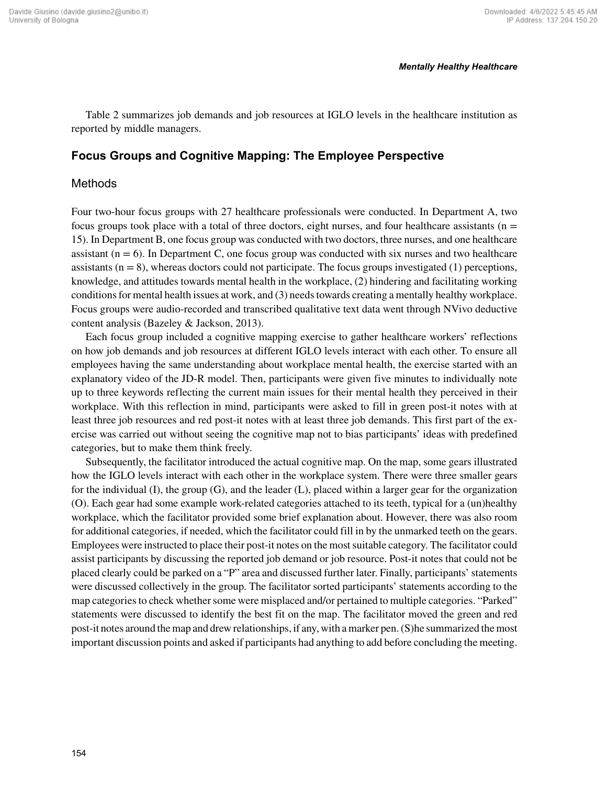Table 2 summarizes job demands and job resources at IGLO levels in the healthcare institution as reported by middle managers.

# **Focus Groups and Cognitive Mapping: The Employee Perspective**

## Methods

Four two-hour focus groups with 27 healthcare professionals were conducted. In Department A, two focus groups took place with a total of three doctors, eight nurses, and four healthcare assistants ( $n =$ 15). In Department B, one focus group was conducted with two doctors, three nurses, and one healthcare assistant  $(n = 6)$ . In Department C, one focus group was conducted with six nurses and two healthcare assistants  $(n = 8)$ , whereas doctors could not participate. The focus groups investigated (1) perceptions, knowledge, and attitudes towards mental health in the workplace, (2) hindering and facilitating working conditions for mental health issues at work, and (3) needs towards creating a mentally healthy workplace. Focus groups were audio-recorded and transcribed qualitative text data went through NVivo deductive content analysis (Bazeley & Jackson, 2013).

Each focus group included a cognitive mapping exercise to gather healthcare workers' reflections on how job demands and job resources at different IGLO levels interact with each other. To ensure all employees having the same understanding about workplace mental health, the exercise started with an explanatory video of the JD-R model. Then, participants were given five minutes to individually note up to three keywords reflecting the current main issues for their mental health they perceived in their workplace. With this reflection in mind, participants were asked to fill in green post-it notes with at least three job resources and red post-it notes with at least three job demands. This first part of the exercise was carried out without seeing the cognitive map not to bias participants' ideas with predefined categories, but to make them think freely.

Subsequently, the facilitator introduced the actual cognitive map. On the map, some gears illustrated how the IGLO levels interact with each other in the workplace system. There were three smaller gears for the individual  $(I)$ , the group  $(G)$ , and the leader  $(L)$ , placed within a larger gear for the organization (O). Each gear had some example work-related categories attached to its teeth, typical for a (un)healthy workplace, which the facilitator provided some brief explanation about. However, there was also room for additional categories, if needed, which the facilitator could fill in by the unmarked teeth on the gears. Employees were instructed to place their post-it notes on the most suitable category. The facilitator could assist participants by discussing the reported job demand or job resource. Post-it notes that could not be placed clearly could be parked on a "P" area and discussed further later. Finally, participants' statements were discussed collectively in the group. The facilitator sorted participants' statements according to the map categories to check whether some were misplaced and/or pertained to multiple categories. "Parked" statements were discussed to identify the best fit on the map. The facilitator moved the green and red post-it notes around the map and drew relationships, if any, with a marker pen. (S)he summarized the most important discussion points and asked if participants had anything to add before concluding the meeting.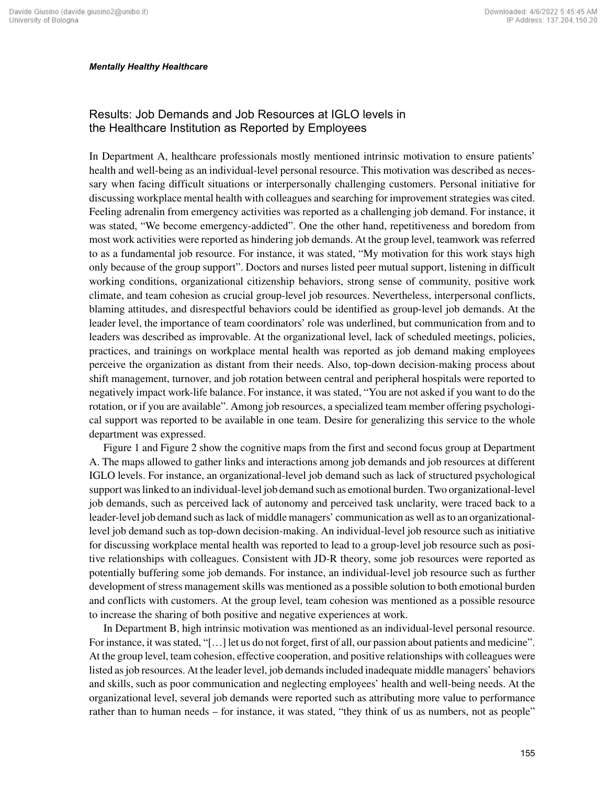# Results: Job Demands and Job Resources at IGLO levels in the Healthcare Institution as Reported by Employees

In Department A, healthcare professionals mostly mentioned intrinsic motivation to ensure patients' health and well-being as an individual-level personal resource. This motivation was described as necessary when facing difficult situations or interpersonally challenging customers. Personal initiative for discussing workplace mental health with colleagues and searching for improvement strategies was cited. Feeling adrenalin from emergency activities was reported as a challenging job demand. For instance, it was stated, "We become emergency-addicted". One the other hand, repetitiveness and boredom from most work activities were reported as hindering job demands. At the group level, teamwork was referred to as a fundamental job resource. For instance, it was stated, "My motivation for this work stays high only because of the group support". Doctors and nurses listed peer mutual support, listening in difficult working conditions, organizational citizenship behaviors, strong sense of community, positive work climate, and team cohesion as crucial group-level job resources. Nevertheless, interpersonal conflicts, blaming attitudes, and disrespectful behaviors could be identified as group-level job demands. At the leader level, the importance of team coordinators' role was underlined, but communication from and to leaders was described as improvable. At the organizational level, lack of scheduled meetings, policies, practices, and trainings on workplace mental health was reported as job demand making employees perceive the organization as distant from their needs. Also, top-down decision-making process about shift management, turnover, and job rotation between central and peripheral hospitals were reported to negatively impact work-life balance. For instance, it was stated, "You are not asked if you want to do the rotation, or if you are available". Among job resources, a specialized team member offering psychological support was reported to be available in one team. Desire for generalizing this service to the whole department was expressed.

Figure 1 and Figure 2 show the cognitive maps from the first and second focus group at Department A. The maps allowed to gather links and interactions among job demands and job resources at different IGLO levels. For instance, an organizational-level job demand such as lack of structured psychological support was linked to an individual-level job demand such as emotional burden. Two organizational-level job demands, such as perceived lack of autonomy and perceived task unclarity, were traced back to a leader-level job demand such as lack of middle managers' communication as well as to an organizationallevel job demand such as top-down decision-making. An individual-level job resource such as initiative for discussing workplace mental health was reported to lead to a group-level job resource such as positive relationships with colleagues. Consistent with JD-R theory, some job resources were reported as potentially buffering some job demands. For instance, an individual-level job resource such as further development of stress management skills was mentioned as a possible solution to both emotional burden and conflicts with customers. At the group level, team cohesion was mentioned as a possible resource to increase the sharing of both positive and negative experiences at work.

In Department B, high intrinsic motivation was mentioned as an individual-level personal resource. For instance, it was stated, "[...] let us do not forget, first of all, our passion about patients and medicine". At the group level, team cohesion, effective cooperation, and positive relationships with colleagues were listed as job resources. At the leader level, job demands included inadequate middle managers' behaviors and skills, such as poor communication and neglecting employees' health and well-being needs. At the organizational level, several job demands were reported such as attributing more value to performance rather than to human needs – for instance, it was stated, "they think of us as numbers, not as people"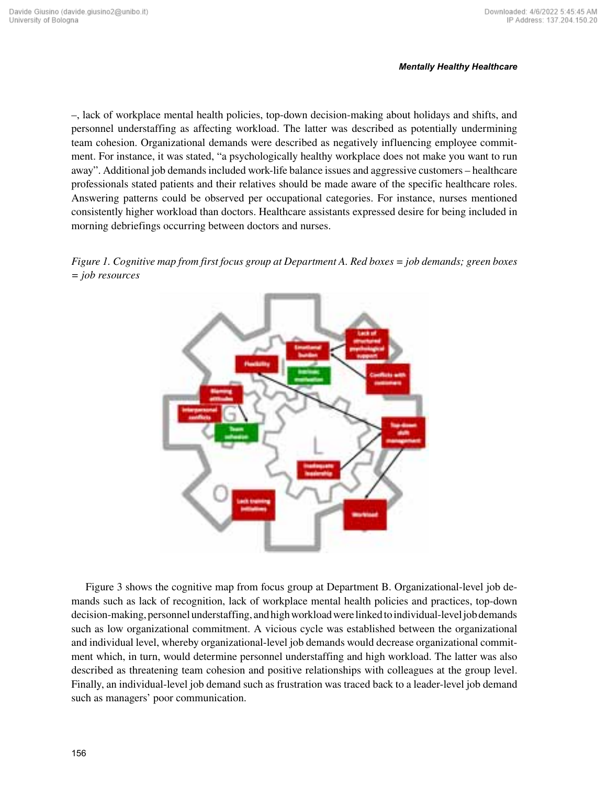–, lack of workplace mental health policies, top-down decision-making about holidays and shifts, and personnel understaffing as affecting workload. The latter was described as potentially undermining team cohesion. Organizational demands were described as negatively influencing employee commitment. For instance, it was stated, "a psychologically healthy workplace does not make you want to run away". Additional job demands included work-life balance issues and aggressive customers – healthcare professionals stated patients and their relatives should be made aware of the specific healthcare roles. Answering patterns could be observed per occupational categories. For instance, nurses mentioned consistently higher workload than doctors. Healthcare assistants expressed desire for being included in morning debriefings occurring between doctors and nurses.





Figure 3 shows the cognitive map from focus group at Department B. Organizational-level job demands such as lack of recognition, lack of workplace mental health policies and practices, top-down decision-making, personnel understaffing, and high workload were linked to individual-level job demands such as low organizational commitment. A vicious cycle was established between the organizational and individual level, whereby organizational-level job demands would decrease organizational commitment which, in turn, would determine personnel understaffing and high workload. The latter was also described as threatening team cohesion and positive relationships with colleagues at the group level. Finally, an individual-level job demand such as frustration was traced back to a leader-level job demand such as managers' poor communication.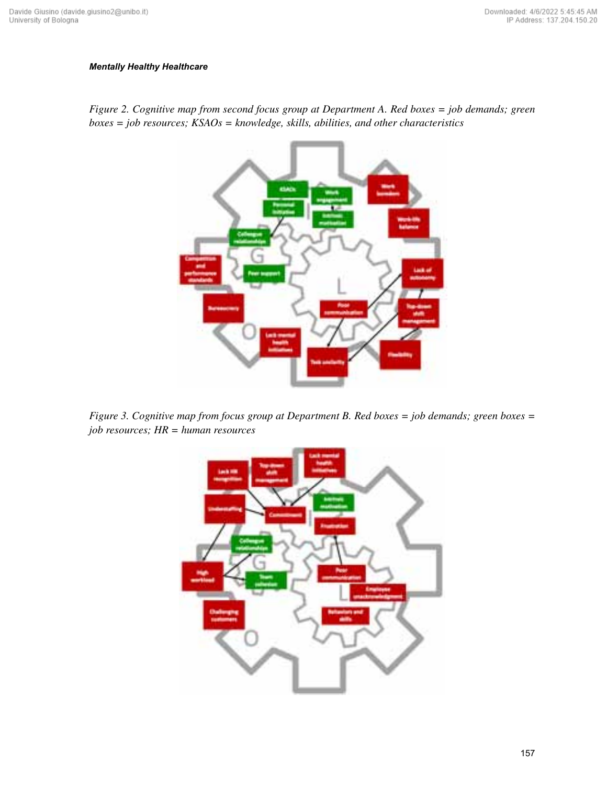

*Figure 2. Cognitive map from second focus group at Department A. Red boxes = job demands; green boxes = job resources; KSAOs = knowledge, skills, abilities, and other characteristics*

*Figure 3. Cognitive map from focus group at Department B. Red boxes = job demands; green boxes = job resources; HR = human resources*

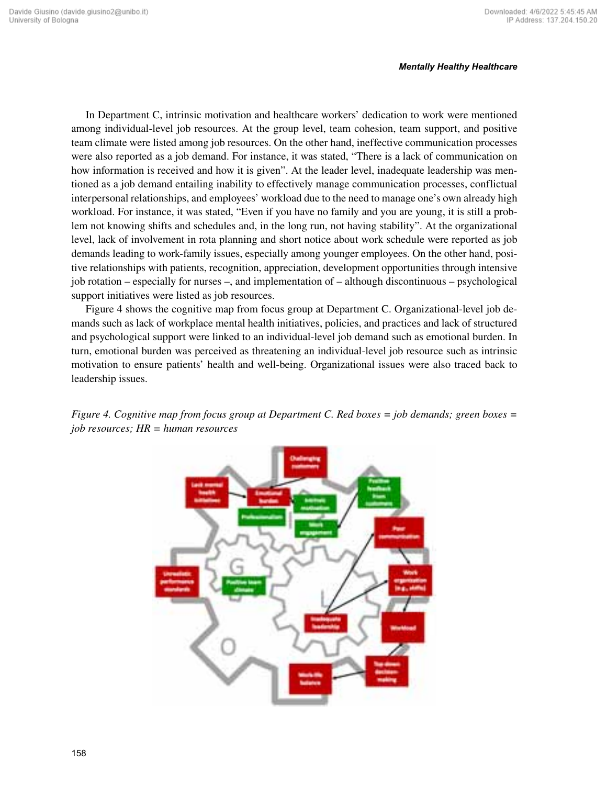In Department C, intrinsic motivation and healthcare workers' dedication to work were mentioned among individual-level job resources. At the group level, team cohesion, team support, and positive team climate were listed among job resources. On the other hand, ineffective communication processes were also reported as a job demand. For instance, it was stated, "There is a lack of communication on how information is received and how it is given". At the leader level, inadequate leadership was mentioned as a job demand entailing inability to effectively manage communication processes, conflictual interpersonal relationships, and employees' workload due to the need to manage one's own already high workload. For instance, it was stated, "Even if you have no family and you are young, it is still a problem not knowing shifts and schedules and, in the long run, not having stability". At the organizational level, lack of involvement in rota planning and short notice about work schedule were reported as job demands leading to work-family issues, especially among younger employees. On the other hand, positive relationships with patients, recognition, appreciation, development opportunities through intensive job rotation – especially for nurses –, and implementation of – although discontinuous – psychological support initiatives were listed as job resources.

Figure 4 shows the cognitive map from focus group at Department C. Organizational-level job demands such as lack of workplace mental health initiatives, policies, and practices and lack of structured and psychological support were linked to an individual-level job demand such as emotional burden. In turn, emotional burden was perceived as threatening an individual-level job resource such as intrinsic motivation to ensure patients' health and well-being. Organizational issues were also traced back to leadership issues.



*Figure 4. Cognitive map from focus group at Department C. Red boxes = job demands; green boxes = job resources; HR = human resources*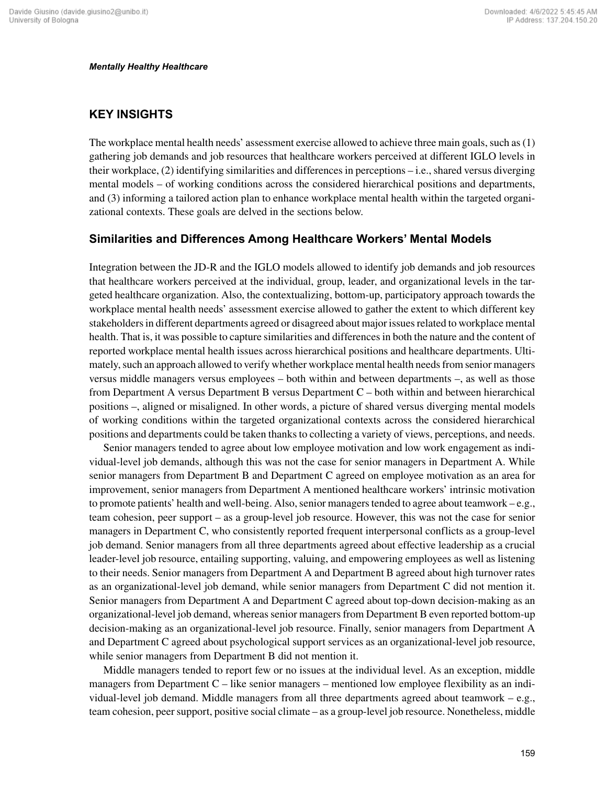# **KEY INSIGHTS**

The workplace mental health needs' assessment exercise allowed to achieve three main goals, such as (1) gathering job demands and job resources that healthcare workers perceived at different IGLO levels in their workplace, (2) identifying similarities and differences in perceptions – i.e., shared versus diverging mental models – of working conditions across the considered hierarchical positions and departments, and (3) informing a tailored action plan to enhance workplace mental health within the targeted organizational contexts. These goals are delved in the sections below.

# **Similarities and Differences Among Healthcare Workers' Mental Models**

Integration between the JD-R and the IGLO models allowed to identify job demands and job resources that healthcare workers perceived at the individual, group, leader, and organizational levels in the targeted healthcare organization. Also, the contextualizing, bottom-up, participatory approach towards the workplace mental health needs' assessment exercise allowed to gather the extent to which different key stakeholders in different departments agreed or disagreed about major issues related to workplace mental health. That is, it was possible to capture similarities and differences in both the nature and the content of reported workplace mental health issues across hierarchical positions and healthcare departments. Ultimately, such an approach allowed to verify whether workplace mental health needs from senior managers versus middle managers versus employees – both within and between departments –, as well as those from Department A versus Department B versus Department C – both within and between hierarchical positions –, aligned or misaligned. In other words, a picture of shared versus diverging mental models of working conditions within the targeted organizational contexts across the considered hierarchical positions and departments could be taken thanks to collecting a variety of views, perceptions, and needs.

Senior managers tended to agree about low employee motivation and low work engagement as individual-level job demands, although this was not the case for senior managers in Department A. While senior managers from Department B and Department C agreed on employee motivation as an area for improvement, senior managers from Department A mentioned healthcare workers' intrinsic motivation to promote patients' health and well-being. Also, senior managers tended to agree about teamwork – e.g., team cohesion, peer support – as a group-level job resource. However, this was not the case for senior managers in Department C, who consistently reported frequent interpersonal conflicts as a group-level job demand. Senior managers from all three departments agreed about effective leadership as a crucial leader-level job resource, entailing supporting, valuing, and empowering employees as well as listening to their needs. Senior managers from Department A and Department B agreed about high turnover rates as an organizational-level job demand, while senior managers from Department C did not mention it. Senior managers from Department A and Department C agreed about top-down decision-making as an organizational-level job demand, whereas senior managers from Department B even reported bottom-up decision-making as an organizational-level job resource. Finally, senior managers from Department A and Department C agreed about psychological support services as an organizational-level job resource, while senior managers from Department B did not mention it.

Middle managers tended to report few or no issues at the individual level. As an exception, middle managers from Department C – like senior managers – mentioned low employee flexibility as an individual-level job demand. Middle managers from all three departments agreed about teamwork – e.g., team cohesion, peer support, positive social climate – as a group-level job resource. Nonetheless, middle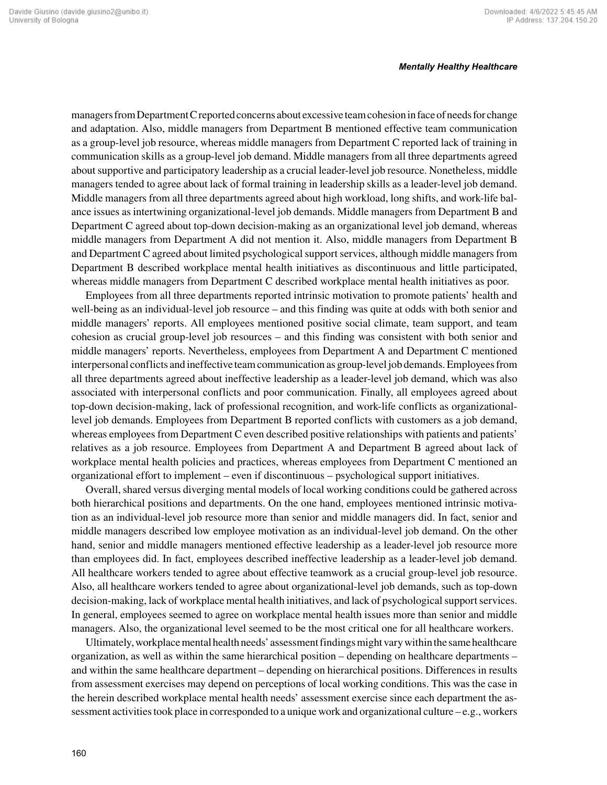managers from Department C reported concerns about excessive team cohesion in face of needs for change and adaptation. Also, middle managers from Department B mentioned effective team communication as a group-level job resource, whereas middle managers from Department C reported lack of training in communication skills as a group-level job demand. Middle managers from all three departments agreed about supportive and participatory leadership as a crucial leader-level job resource. Nonetheless, middle managers tended to agree about lack of formal training in leadership skills as a leader-level job demand. Middle managers from all three departments agreed about high workload, long shifts, and work-life balance issues as intertwining organizational-level job demands. Middle managers from Department B and Department C agreed about top-down decision-making as an organizational level job demand, whereas middle managers from Department A did not mention it. Also, middle managers from Department B and Department C agreed about limited psychological support services, although middle managers from Department B described workplace mental health initiatives as discontinuous and little participated, whereas middle managers from Department C described workplace mental health initiatives as poor.

Employees from all three departments reported intrinsic motivation to promote patients' health and well-being as an individual-level job resource – and this finding was quite at odds with both senior and middle managers' reports. All employees mentioned positive social climate, team support, and team cohesion as crucial group-level job resources – and this finding was consistent with both senior and middle managers' reports. Nevertheless, employees from Department A and Department C mentioned interpersonal conflicts and ineffective team communication as group-level job demands. Employees from all three departments agreed about ineffective leadership as a leader-level job demand, which was also associated with interpersonal conflicts and poor communication. Finally, all employees agreed about top-down decision-making, lack of professional recognition, and work-life conflicts as organizationallevel job demands. Employees from Department B reported conflicts with customers as a job demand, whereas employees from Department C even described positive relationships with patients and patients' relatives as a job resource. Employees from Department A and Department B agreed about lack of workplace mental health policies and practices, whereas employees from Department C mentioned an organizational effort to implement – even if discontinuous – psychological support initiatives.

Overall, shared versus diverging mental models of local working conditions could be gathered across both hierarchical positions and departments. On the one hand, employees mentioned intrinsic motivation as an individual-level job resource more than senior and middle managers did. In fact, senior and middle managers described low employee motivation as an individual-level job demand. On the other hand, senior and middle managers mentioned effective leadership as a leader-level job resource more than employees did. In fact, employees described ineffective leadership as a leader-level job demand. All healthcare workers tended to agree about effective teamwork as a crucial group-level job resource. Also, all healthcare workers tended to agree about organizational-level job demands, such as top-down decision-making, lack of workplace mental health initiatives, and lack of psychological support services. In general, employees seemed to agree on workplace mental health issues more than senior and middle managers. Also, the organizational level seemed to be the most critical one for all healthcare workers.

Ultimately, workplace mental health needs' assessment findings might vary within the same healthcare organization, as well as within the same hierarchical position – depending on healthcare departments – and within the same healthcare department – depending on hierarchical positions. Differences in results from assessment exercises may depend on perceptions of local working conditions. This was the case in the herein described workplace mental health needs' assessment exercise since each department the assessment activities took place in corresponded to a unique work and organizational culture – e.g., workers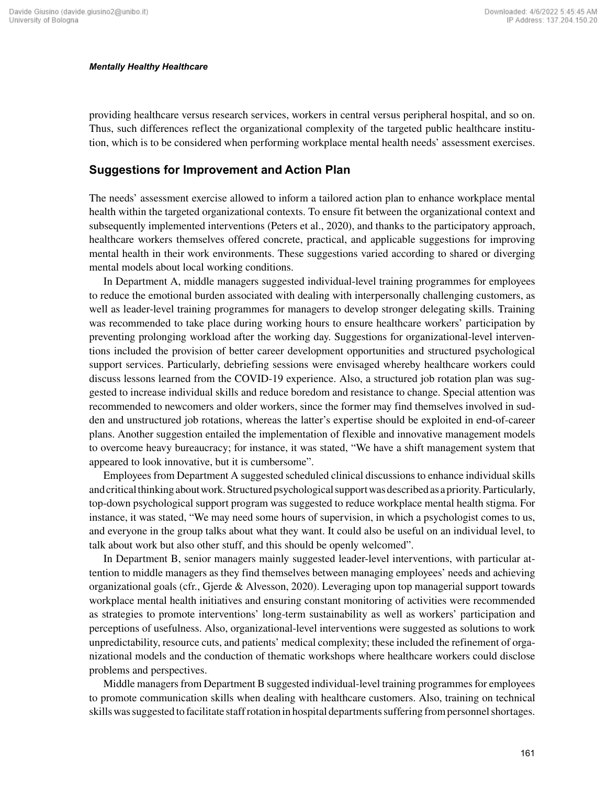providing healthcare versus research services, workers in central versus peripheral hospital, and so on. Thus, such differences reflect the organizational complexity of the targeted public healthcare institution, which is to be considered when performing workplace mental health needs' assessment exercises.

## **Suggestions for Improvement and Action Plan**

The needs' assessment exercise allowed to inform a tailored action plan to enhance workplace mental health within the targeted organizational contexts. To ensure fit between the organizational context and subsequently implemented interventions (Peters et al., 2020), and thanks to the participatory approach, healthcare workers themselves offered concrete, practical, and applicable suggestions for improving mental health in their work environments. These suggestions varied according to shared or diverging mental models about local working conditions.

In Department A, middle managers suggested individual-level training programmes for employees to reduce the emotional burden associated with dealing with interpersonally challenging customers, as well as leader-level training programmes for managers to develop stronger delegating skills. Training was recommended to take place during working hours to ensure healthcare workers' participation by preventing prolonging workload after the working day. Suggestions for organizational-level interventions included the provision of better career development opportunities and structured psychological support services. Particularly, debriefing sessions were envisaged whereby healthcare workers could discuss lessons learned from the COVID-19 experience. Also, a structured job rotation plan was suggested to increase individual skills and reduce boredom and resistance to change. Special attention was recommended to newcomers and older workers, since the former may find themselves involved in sudden and unstructured job rotations, whereas the latter's expertise should be exploited in end-of-career plans. Another suggestion entailed the implementation of flexible and innovative management models to overcome heavy bureaucracy; for instance, it was stated, "We have a shift management system that appeared to look innovative, but it is cumbersome".

Employees from Department A suggested scheduled clinical discussions to enhance individual skills and critical thinking about work. Structured psychological support was described as a priority. Particularly, top-down psychological support program was suggested to reduce workplace mental health stigma. For instance, it was stated, "We may need some hours of supervision, in which a psychologist comes to us, and everyone in the group talks about what they want. It could also be useful on an individual level, to talk about work but also other stuff, and this should be openly welcomed".

In Department B, senior managers mainly suggested leader-level interventions, with particular attention to middle managers as they find themselves between managing employees' needs and achieving organizational goals (cfr., Gjerde & Alvesson, 2020). Leveraging upon top managerial support towards workplace mental health initiatives and ensuring constant monitoring of activities were recommended as strategies to promote interventions' long-term sustainability as well as workers' participation and perceptions of usefulness. Also, organizational-level interventions were suggested as solutions to work unpredictability, resource cuts, and patients' medical complexity; these included the refinement of organizational models and the conduction of thematic workshops where healthcare workers could disclose problems and perspectives.

Middle managers from Department B suggested individual-level training programmes for employees to promote communication skills when dealing with healthcare customers. Also, training on technical skills was suggested to facilitate staff rotation in hospital departments suffering from personnel shortages.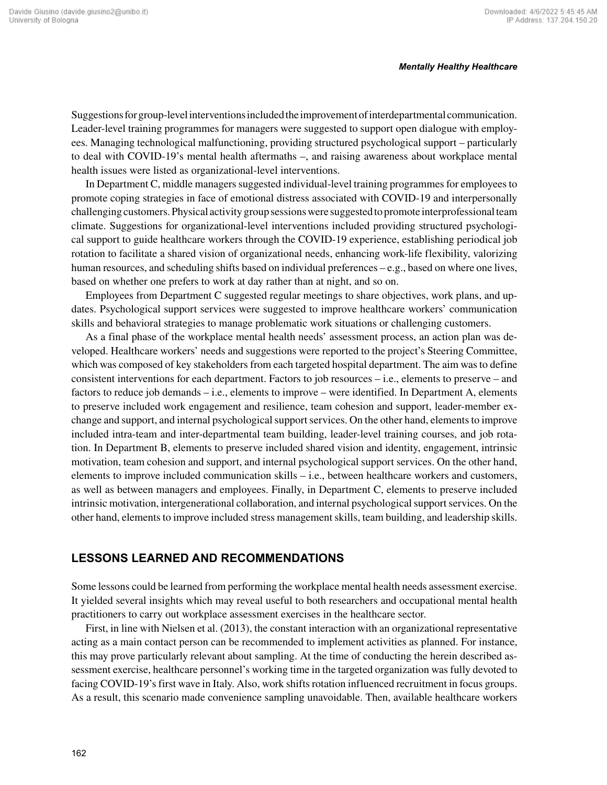Suggestions for group-level interventions included the improvement of interdepartmental communication. Leader-level training programmes for managers were suggested to support open dialogue with employees. Managing technological malfunctioning, providing structured psychological support – particularly to deal with COVID-19's mental health aftermaths –, and raising awareness about workplace mental health issues were listed as organizational-level interventions.

In Department C, middle managers suggested individual-level training programmes for employees to promote coping strategies in face of emotional distress associated with COVID-19 and interpersonally challenging customers. Physical activity group sessions were suggested to promote interprofessional team climate. Suggestions for organizational-level interventions included providing structured psychological support to guide healthcare workers through the COVID-19 experience, establishing periodical job rotation to facilitate a shared vision of organizational needs, enhancing work-life flexibility, valorizing human resources, and scheduling shifts based on individual preferences - e.g., based on where one lives, based on whether one prefers to work at day rather than at night, and so on.

Employees from Department C suggested regular meetings to share objectives, work plans, and updates. Psychological support services were suggested to improve healthcare workers' communication skills and behavioral strategies to manage problematic work situations or challenging customers.

As a final phase of the workplace mental health needs' assessment process, an action plan was developed. Healthcare workers' needs and suggestions were reported to the project's Steering Committee, which was composed of key stakeholders from each targeted hospital department. The aim was to define consistent interventions for each department. Factors to job resources – i.e., elements to preserve – and factors to reduce job demands – i.e., elements to improve – were identified. In Department A, elements to preserve included work engagement and resilience, team cohesion and support, leader-member exchange and support, and internal psychological support services. On the other hand, elements to improve included intra-team and inter-departmental team building, leader-level training courses, and job rotation. In Department B, elements to preserve included shared vision and identity, engagement, intrinsic motivation, team cohesion and support, and internal psychological support services. On the other hand, elements to improve included communication skills – i.e., between healthcare workers and customers, as well as between managers and employees. Finally, in Department C, elements to preserve included intrinsic motivation, intergenerational collaboration, and internal psychological support services. On the other hand, elements to improve included stress management skills, team building, and leadership skills.

# **LESSONS LEARNED AND RECOMMENDATIONS**

Some lessons could be learned from performing the workplace mental health needs assessment exercise. It yielded several insights which may reveal useful to both researchers and occupational mental health practitioners to carry out workplace assessment exercises in the healthcare sector.

First, in line with Nielsen et al. (2013), the constant interaction with an organizational representative acting as a main contact person can be recommended to implement activities as planned. For instance, this may prove particularly relevant about sampling. At the time of conducting the herein described assessment exercise, healthcare personnel's working time in the targeted organization was fully devoted to facing COVID-19's first wave in Italy. Also, work shifts rotation influenced recruitment in focus groups. As a result, this scenario made convenience sampling unavoidable. Then, available healthcare workers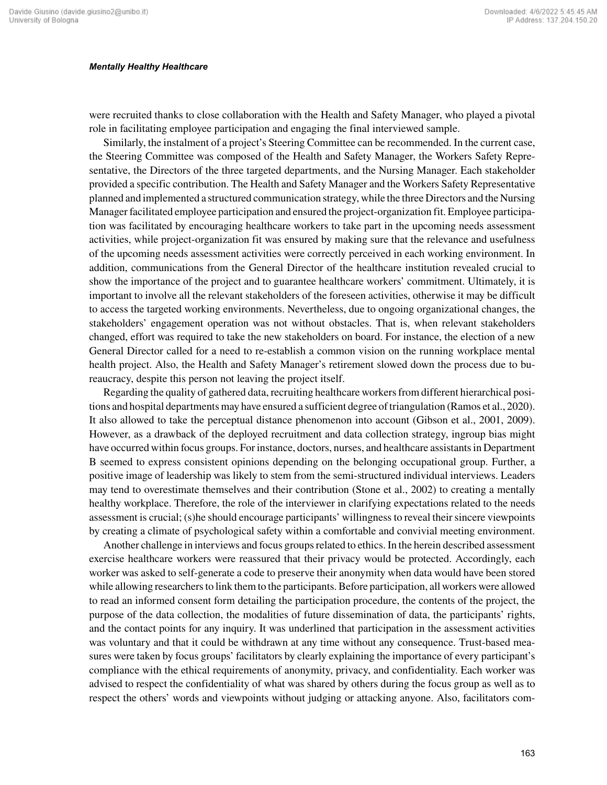were recruited thanks to close collaboration with the Health and Safety Manager, who played a pivotal role in facilitating employee participation and engaging the final interviewed sample.

Similarly, the instalment of a project's Steering Committee can be recommended. In the current case, the Steering Committee was composed of the Health and Safety Manager, the Workers Safety Representative, the Directors of the three targeted departments, and the Nursing Manager. Each stakeholder provided a specific contribution. The Health and Safety Manager and the Workers Safety Representative planned and implemented a structured communication strategy, while the three Directors and the Nursing Manager facilitated employee participation and ensured the project-organization fit. Employee participation was facilitated by encouraging healthcare workers to take part in the upcoming needs assessment activities, while project-organization fit was ensured by making sure that the relevance and usefulness of the upcoming needs assessment activities were correctly perceived in each working environment. In addition, communications from the General Director of the healthcare institution revealed crucial to show the importance of the project and to guarantee healthcare workers' commitment. Ultimately, it is important to involve all the relevant stakeholders of the foreseen activities, otherwise it may be difficult to access the targeted working environments. Nevertheless, due to ongoing organizational changes, the stakeholders' engagement operation was not without obstacles. That is, when relevant stakeholders changed, effort was required to take the new stakeholders on board. For instance, the election of a new General Director called for a need to re-establish a common vision on the running workplace mental health project. Also, the Health and Safety Manager's retirement slowed down the process due to bureaucracy, despite this person not leaving the project itself.

Regarding the quality of gathered data, recruiting healthcare workers from different hierarchical positions and hospital departments may have ensured a sufficient degree of triangulation (Ramos et al., 2020). It also allowed to take the perceptual distance phenomenon into account (Gibson et al., 2001, 2009). However, as a drawback of the deployed recruitment and data collection strategy, ingroup bias might have occurred within focus groups. For instance, doctors, nurses, and healthcare assistants in Department B seemed to express consistent opinions depending on the belonging occupational group. Further, a positive image of leadership was likely to stem from the semi-structured individual interviews. Leaders may tend to overestimate themselves and their contribution (Stone et al., 2002) to creating a mentally healthy workplace. Therefore, the role of the interviewer in clarifying expectations related to the needs assessment is crucial; (s)he should encourage participants' willingness to reveal their sincere viewpoints by creating a climate of psychological safety within a comfortable and convivial meeting environment.

Another challenge in interviews and focus groups related to ethics. In the herein described assessment exercise healthcare workers were reassured that their privacy would be protected. Accordingly, each worker was asked to self-generate a code to preserve their anonymity when data would have been stored while allowing researchers to link them to the participants. Before participation, all workers were allowed to read an informed consent form detailing the participation procedure, the contents of the project, the purpose of the data collection, the modalities of future dissemination of data, the participants' rights, and the contact points for any inquiry. It was underlined that participation in the assessment activities was voluntary and that it could be withdrawn at any time without any consequence. Trust-based measures were taken by focus groups' facilitators by clearly explaining the importance of every participant's compliance with the ethical requirements of anonymity, privacy, and confidentiality. Each worker was advised to respect the confidentiality of what was shared by others during the focus group as well as to respect the others' words and viewpoints without judging or attacking anyone. Also, facilitators com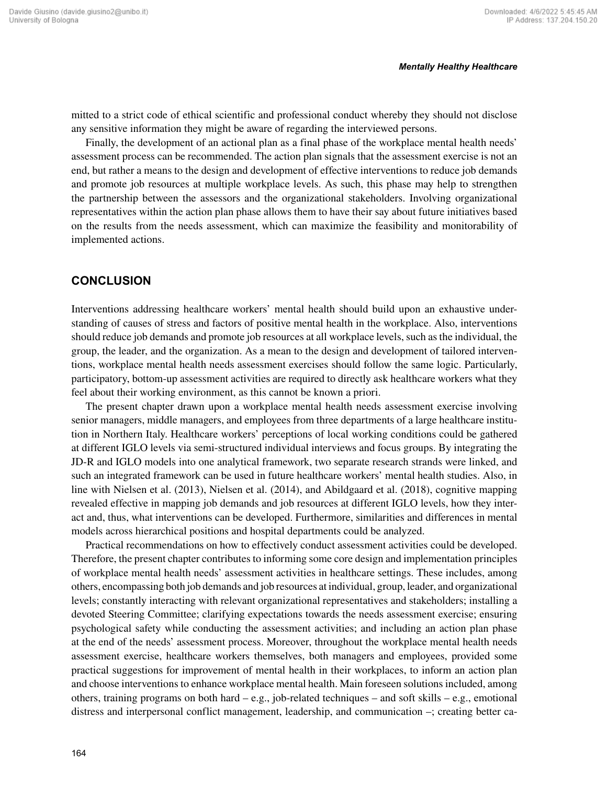mitted to a strict code of ethical scientific and professional conduct whereby they should not disclose any sensitive information they might be aware of regarding the interviewed persons.

Finally, the development of an actional plan as a final phase of the workplace mental health needs' assessment process can be recommended. The action plan signals that the assessment exercise is not an end, but rather a means to the design and development of effective interventions to reduce job demands and promote job resources at multiple workplace levels. As such, this phase may help to strengthen the partnership between the assessors and the organizational stakeholders. Involving organizational representatives within the action plan phase allows them to have their say about future initiatives based on the results from the needs assessment, which can maximize the feasibility and monitorability of implemented actions.

# **CONCLUSION**

Interventions addressing healthcare workers' mental health should build upon an exhaustive understanding of causes of stress and factors of positive mental health in the workplace. Also, interventions should reduce job demands and promote job resources at all workplace levels, such as the individual, the group, the leader, and the organization. As a mean to the design and development of tailored interventions, workplace mental health needs assessment exercises should follow the same logic. Particularly, participatory, bottom-up assessment activities are required to directly ask healthcare workers what they feel about their working environment, as this cannot be known a priori.

The present chapter drawn upon a workplace mental health needs assessment exercise involving senior managers, middle managers, and employees from three departments of a large healthcare institution in Northern Italy. Healthcare workers' perceptions of local working conditions could be gathered at different IGLO levels via semi-structured individual interviews and focus groups. By integrating the JD-R and IGLO models into one analytical framework, two separate research strands were linked, and such an integrated framework can be used in future healthcare workers' mental health studies. Also, in line with Nielsen et al. (2013), Nielsen et al. (2014), and Abildgaard et al. (2018), cognitive mapping revealed effective in mapping job demands and job resources at different IGLO levels, how they interact and, thus, what interventions can be developed. Furthermore, similarities and differences in mental models across hierarchical positions and hospital departments could be analyzed.

Practical recommendations on how to effectively conduct assessment activities could be developed. Therefore, the present chapter contributes to informing some core design and implementation principles of workplace mental health needs' assessment activities in healthcare settings. These includes, among others, encompassing both job demands and job resources at individual, group, leader, and organizational levels; constantly interacting with relevant organizational representatives and stakeholders; installing a devoted Steering Committee; clarifying expectations towards the needs assessment exercise; ensuring psychological safety while conducting the assessment activities; and including an action plan phase at the end of the needs' assessment process. Moreover, throughout the workplace mental health needs assessment exercise, healthcare workers themselves, both managers and employees, provided some practical suggestions for improvement of mental health in their workplaces, to inform an action plan and choose interventions to enhance workplace mental health. Main foreseen solutions included, among others, training programs on both hard – e.g., job-related techniques – and soft skills – e.g., emotional distress and interpersonal conflict management, leadership, and communication –; creating better ca-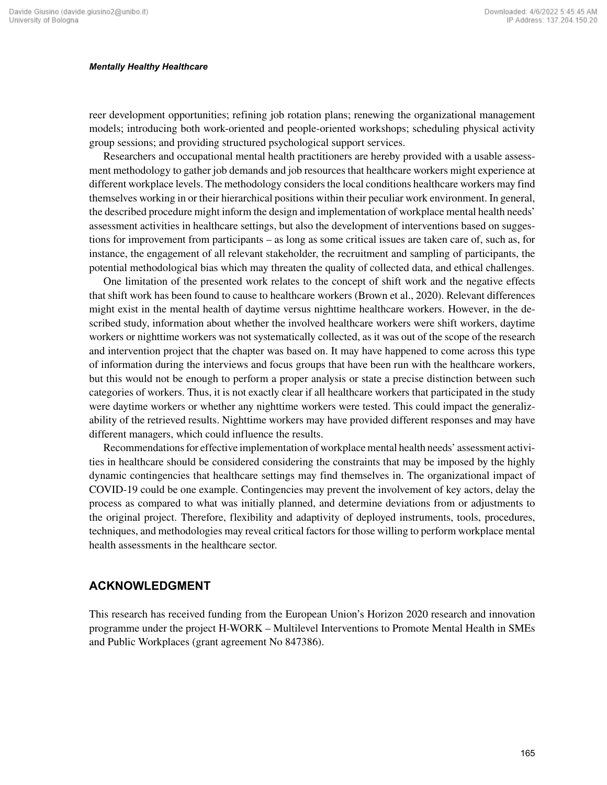reer development opportunities; refining job rotation plans; renewing the organizational management models; introducing both work-oriented and people-oriented workshops; scheduling physical activity group sessions; and providing structured psychological support services.

Researchers and occupational mental health practitioners are hereby provided with a usable assessment methodology to gather job demands and job resources that healthcare workers might experience at different workplace levels. The methodology considers the local conditions healthcare workers may find themselves working in or their hierarchical positions within their peculiar work environment. In general, the described procedure might inform the design and implementation of workplace mental health needs' assessment activities in healthcare settings, but also the development of interventions based on suggestions for improvement from participants – as long as some critical issues are taken care of, such as, for instance, the engagement of all relevant stakeholder, the recruitment and sampling of participants, the potential methodological bias which may threaten the quality of collected data, and ethical challenges.

One limitation of the presented work relates to the concept of shift work and the negative effects that shift work has been found to cause to healthcare workers (Brown et al., 2020). Relevant differences might exist in the mental health of daytime versus nighttime healthcare workers. However, in the described study, information about whether the involved healthcare workers were shift workers, daytime workers or nighttime workers was not systematically collected, as it was out of the scope of the research and intervention project that the chapter was based on. It may have happened to come across this type of information during the interviews and focus groups that have been run with the healthcare workers, but this would not be enough to perform a proper analysis or state a precise distinction between such categories of workers. Thus, it is not exactly clear if all healthcare workers that participated in the study were daytime workers or whether any nighttime workers were tested. This could impact the generalizability of the retrieved results. Nighttime workers may have provided different responses and may have different managers, which could influence the results.

Recommendations for effective implementation of workplace mental health needs' assessment activities in healthcare should be considered considering the constraints that may be imposed by the highly dynamic contingencies that healthcare settings may find themselves in. The organizational impact of COVID-19 could be one example. Contingencies may prevent the involvement of key actors, delay the process as compared to what was initially planned, and determine deviations from or adjustments to the original project. Therefore, flexibility and adaptivity of deployed instruments, tools, procedures, techniques, and methodologies may reveal critical factors for those willing to perform workplace mental health assessments in the healthcare sector.

# **ACKNOWLEDGMENT**

This research has received funding from the European Union's Horizon 2020 research and innovation programme under the project H-WORK – Multilevel Interventions to Promote Mental Health in SMEs and Public Workplaces (grant agreement No 847386).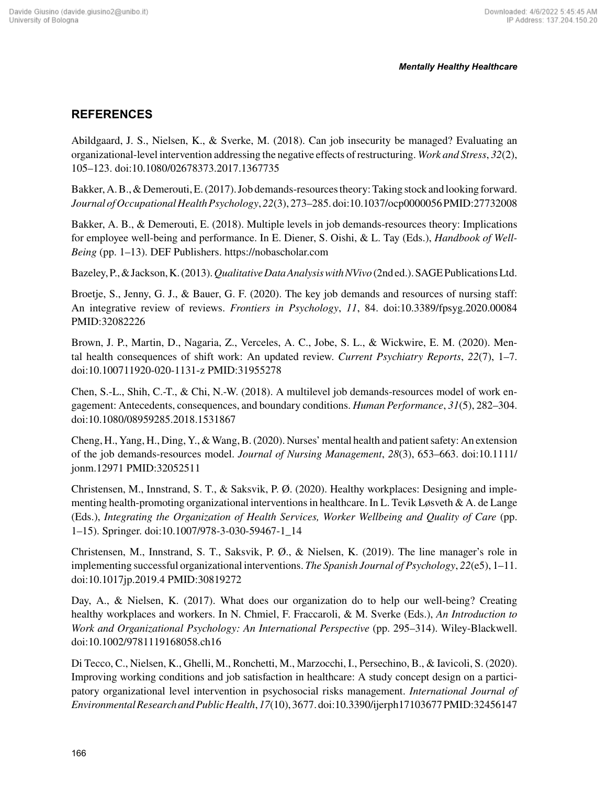# **REFERENCES**

Abildgaard, J. S., Nielsen, K., & Sverke, M. (2018). Can job insecurity be managed? Evaluating an organizational-level intervention addressing the negative effects of restructuring. *Work and Stress*, *32*(2), 105–123. doi:10.1080/02678373.2017.1367735

Bakker, A. B., & Demerouti, E. (2017). Job demands-resources theory: Taking stock and looking forward. *Journal of Occupational Health Psychology*, *22*(3), 273–285. doi:10.1037/ocp0000056 PMID:27732008

Bakker, A. B., & Demerouti, E. (2018). Multiple levels in job demands-resources theory: Implications for employee well-being and performance. In E. Diener, S. Oishi, & L. Tay (Eds.), *Handbook of Well-Being* (pp. 1–13). DEF Publishers. <https://nobascholar.com>

Bazeley, P., & Jackson, K. (2013). *Qualitative Data Analysis with NVivo* (2nd ed.). SAGE Publications Ltd.

Broetje, S., Jenny, G. J., & Bauer, G. F. (2020). The key job demands and resources of nursing staff: An integrative review of reviews. *Frontiers in Psychology*, *11*, 84. doi:10.3389/fpsyg.2020.00084 PMID:32082226

Brown, J. P., Martin, D., Nagaria, Z., Verceles, A. C., Jobe, S. L., & Wickwire, E. M. (2020). Mental health consequences of shift work: An updated review. *Current Psychiatry Reports*, *22*(7), 1–7. doi:10.100711920-020-1131-z PMID:31955278

Chen, S.-L., Shih, C.-T., & Chi, N.-W. (2018). A multilevel job demands-resources model of work engagement: Antecedents, consequences, and boundary conditions. *Human Performance*, *31*(5), 282–304. doi:10.1080/08959285.2018.1531867

Cheng, H., Yang, H., Ding, Y., & Wang, B. (2020). Nurses' mental health and patient safety: An extension of the job demands-resources model. *Journal of Nursing Management*, *28*(3), 653–663. doi:10.1111/ jonm.12971 PMID:32052511

Christensen, M., Innstrand, S. T., & Saksvik, P. Ø. (2020). Healthy workplaces: Designing and implementing health-promoting organizational interventions in healthcare. In L. Tevik Løsveth & A. de Lange (Eds.), *Integrating the Organization of Health Services, Worker Wellbeing and Quality of Care* (pp. 1–15). Springer. doi:10.1007/978-3-030-59467-1\_14

Christensen, M., Innstrand, S. T., Saksvik, P. Ø., & Nielsen, K. (2019). The line manager's role in implementing successful organizational interventions. *The Spanish Journal of Psychology*, *22*(e5), 1–11. doi:10.1017jp.2019.4 PMID:30819272

Day, A., & Nielsen, K. (2017). What does our organization do to help our well-being? Creating healthy workplaces and workers. In N. Chmiel, F. Fraccaroli, & M. Sverke (Eds.), *An Introduction to Work and Organizational Psychology: An International Perspective* (pp. 295–314). Wiley-Blackwell. doi:10.1002/9781119168058.ch16

Di Tecco, C., Nielsen, K., Ghelli, M., Ronchetti, M., Marzocchi, I., Persechino, B., & Iavicoli, S. (2020). Improving working conditions and job satisfaction in healthcare: A study concept design on a participatory organizational level intervention in psychosocial risks management. *International Journal of Environmental Research and Public Health*, *17*(10), 3677. doi:10.3390/ijerph17103677 PMID:32456147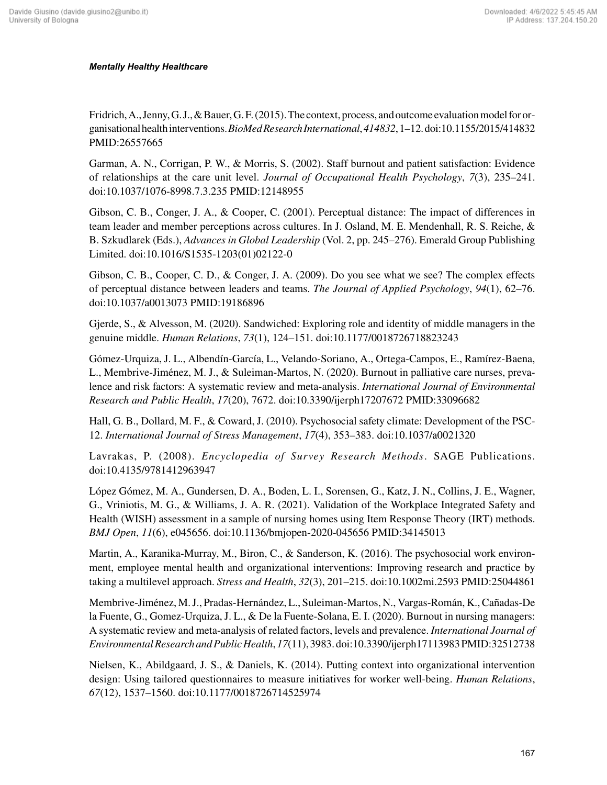Fridrich, A., Jenny, G. J., & Bauer, G. F. (2015). The context, process, and outcome evaluation model for organisational health interventions. *BioMed Research International*, *414832*, 1–12. doi:10.1155/2015/414832 PMID:26557665

Garman, A. N., Corrigan, P. W., & Morris, S. (2002). Staff burnout and patient satisfaction: Evidence of relationships at the care unit level. *Journal of Occupational Health Psychology*, *7*(3), 235–241. doi:10.1037/1076-8998.7.3.235 PMID:12148955

Gibson, C. B., Conger, J. A., & Cooper, C. (2001). Perceptual distance: The impact of differences in team leader and member perceptions across cultures. In J. Osland, M. E. Mendenhall, R. S. Reiche, & B. Szkudlarek (Eds.), *Advances in Global Leadership* (Vol. 2, pp. 245–276). Emerald Group Publishing Limited. doi:10.1016/S1535-1203(01)02122-0

Gibson, C. B., Cooper, C. D., & Conger, J. A. (2009). Do you see what we see? The complex effects of perceptual distance between leaders and teams. *The Journal of Applied Psychology*, *94*(1), 62–76. doi:10.1037/a0013073 PMID:19186896

Gjerde, S., & Alvesson, M. (2020). Sandwiched: Exploring role and identity of middle managers in the genuine middle. *Human Relations*, *73*(1), 124–151. doi:10.1177/0018726718823243

Gómez-Urquiza, J. L., Albendín-García, L., Velando-Soriano, A., Ortega-Campos, E., Ramírez-Baena, L., Membrive-Jiménez, M. J., & Suleiman-Martos, N. (2020). Burnout in palliative care nurses, prevalence and risk factors: A systematic review and meta-analysis. *International Journal of Environmental Research and Public Health*, *17*(20), 7672. doi:10.3390/ijerph17207672 PMID:33096682

Hall, G. B., Dollard, M. F., & Coward, J. (2010). Psychosocial safety climate: Development of the PSC-12. *International Journal of Stress Management*, *17*(4), 353–383. doi:10.1037/a0021320

Lavrakas, P. (2008). *Encyclopedia of Survey Research Methods*. SAGE Publications. doi:10.4135/9781412963947

López Gómez, M. A., Gundersen, D. A., Boden, L. I., Sorensen, G., Katz, J. N., Collins, J. E., Wagner, G., Vriniotis, M. G., & Williams, J. A. R. (2021). Validation of the Workplace Integrated Safety and Health (WISH) assessment in a sample of nursing homes using Item Response Theory (IRT) methods. *BMJ Open*, *11*(6), e045656. doi:10.1136/bmjopen-2020-045656 PMID:34145013

Martin, A., Karanika-Murray, M., Biron, C., & Sanderson, K. (2016). The psychosocial work environment, employee mental health and organizational interventions: Improving research and practice by taking a multilevel approach. *Stress and Health*, *32*(3), 201–215. doi:10.1002mi.2593 PMID:25044861

Membrive-Jiménez, M. J., Pradas-Hernández, L., Suleiman-Martos, N., Vargas-Román, K., Cañadas-De la Fuente, G., Gomez-Urquiza, J. L., & De la Fuente-Solana, E. I. (2020). Burnout in nursing managers: A systematic review and meta-analysis of related factors, levels and prevalence. *International Journal of Environmental Research and Public Health*, *17*(11), 3983. doi:10.3390/ijerph17113983 PMID:32512738

Nielsen, K., Abildgaard, J. S., & Daniels, K. (2014). Putting context into organizational intervention design: Using tailored questionnaires to measure initiatives for worker well-being. *Human Relations*, *67*(12), 1537–1560. doi:10.1177/0018726714525974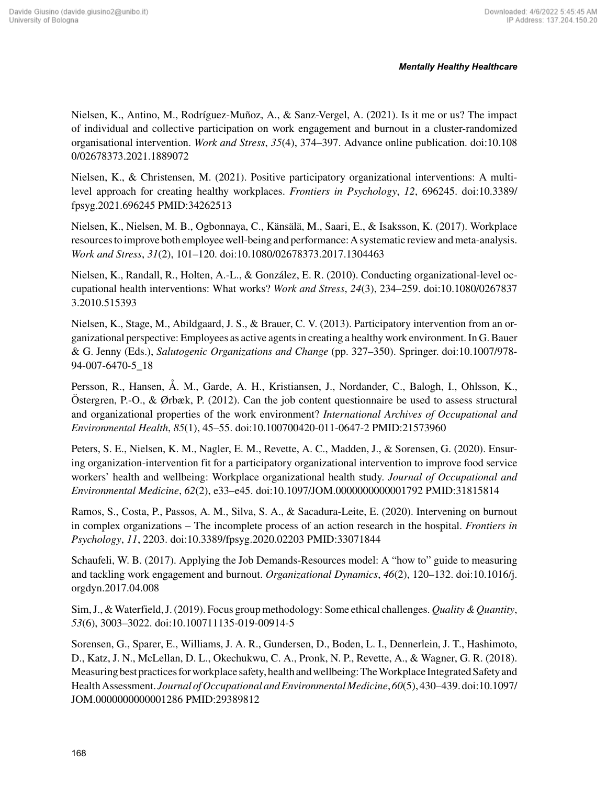Nielsen, K., Antino, M., Rodríguez-Muñoz, A., & Sanz-Vergel, A. (2021). Is it me or us? The impact of individual and collective participation on work engagement and burnout in a cluster-randomized organisational intervention. *Work and Stress*, *35*(4), 374–397. Advance online publication. doi:10.108 0/02678373.2021.1889072

Nielsen, K., & Christensen, M. (2021). Positive participatory organizational interventions: A multilevel approach for creating healthy workplaces. *Frontiers in Psychology*, *12*, 696245. doi:10.3389/ fpsyg.2021.696245 PMID:34262513

Nielsen, K., Nielsen, M. B., Ogbonnaya, C., Känsälä, M., Saari, E., & Isaksson, K. (2017). Workplace resources to improve both employee well-being and performance: A systematic review and meta-analysis. *Work and Stress*, *31*(2), 101–120. doi:10.1080/02678373.2017.1304463

Nielsen, K., Randall, R., Holten, A.-L., & González, E. R. (2010). Conducting organizational-level occupational health interventions: What works? *Work and Stress*, *24*(3), 234–259. doi:10.1080/0267837 3.2010.515393

Nielsen, K., Stage, M., Abildgaard, J. S., & Brauer, C. V. (2013). Participatory intervention from an organizational perspective: Employees as active agents in creating a healthy work environment. In G. Bauer & G. Jenny (Eds.), *Salutogenic Organizations and Change* (pp. 327–350). Springer. doi:10.1007/978- 94-007-6470-5\_18

Persson, R., Hansen, Å. M., Garde, A. H., Kristiansen, J., Nordander, C., Balogh, I., Ohlsson, K., Östergren, P.-O., & Ørbæk, P. (2012). Can the job content questionnaire be used to assess structural and organizational properties of the work environment? *International Archives of Occupational and Environmental Health*, *85*(1), 45–55. doi:10.100700420-011-0647-2 PMID:21573960

Peters, S. E., Nielsen, K. M., Nagler, E. M., Revette, A. C., Madden, J., & Sorensen, G. (2020). Ensuring organization-intervention fit for a participatory organizational intervention to improve food service workers' health and wellbeing: Workplace organizational health study. *Journal of Occupational and Environmental Medicine*, *62*(2), e33–e45. doi:10.1097/JOM.0000000000001792 PMID:31815814

Ramos, S., Costa, P., Passos, A. M., Silva, S. A., & Sacadura-Leite, E. (2020). Intervening on burnout in complex organizations – The incomplete process of an action research in the hospital. *Frontiers in Psychology*, *11*, 2203. doi:10.3389/fpsyg.2020.02203 PMID:33071844

Schaufeli, W. B. (2017). Applying the Job Demands-Resources model: A "how to" guide to measuring and tackling work engagement and burnout. *Organizational Dynamics*, *46*(2), 120–132. doi:10.1016/j. orgdyn.2017.04.008

Sim, J., & Waterfield, J. (2019). Focus group methodology: Some ethical challenges. *Quality & Quantity*, *53*(6), 3003–3022. doi:10.100711135-019-00914-5

Sorensen, G., Sparer, E., Williams, J. A. R., Gundersen, D., Boden, L. I., Dennerlein, J. T., Hashimoto, D., Katz, J. N., McLellan, D. L., Okechukwu, C. A., Pronk, N. P., Revette, A., & Wagner, G. R. (2018). Measuring best practices for workplace safety, health and wellbeing: The Workplace Integrated Safety and Health Assessment. *Journal of Occupational and Environmental Medicine*, *60*(5), 430–439. doi:10.1097/ JOM.0000000000001286 PMID:29389812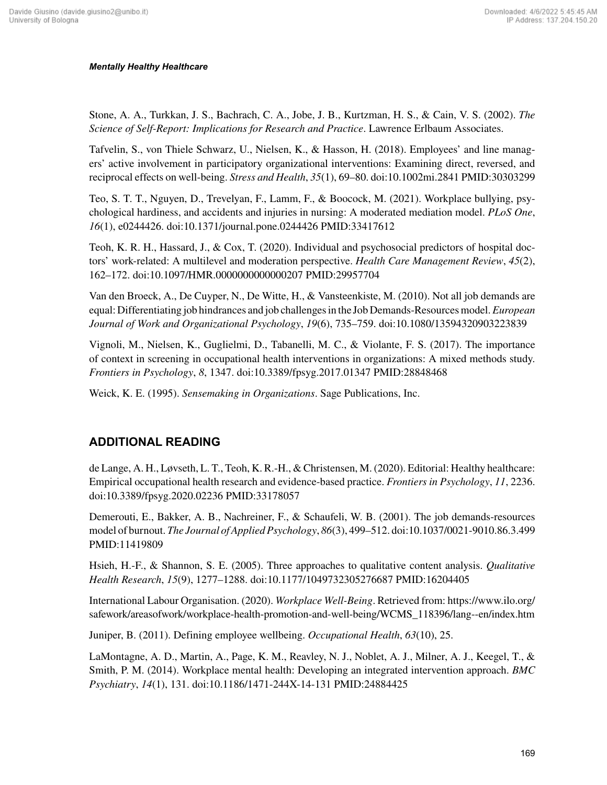Stone, A. A., Turkkan, J. S., Bachrach, C. A., Jobe, J. B., Kurtzman, H. S., & Cain, V. S. (2002). *The Science of Self-Report: Implications for Research and Practice*. Lawrence Erlbaum Associates.

Tafvelin, S., von Thiele Schwarz, U., Nielsen, K., & Hasson, H. (2018). Employees' and line managers' active involvement in participatory organizational interventions: Examining direct, reversed, and reciprocal effects on well-being. *Stress and Health*, *35*(1), 69–80. doi:10.1002mi.2841 PMID:30303299

Teo, S. T. T., Nguyen, D., Trevelyan, F., Lamm, F., & Boocock, M. (2021). Workplace bullying, psychological hardiness, and accidents and injuries in nursing: A moderated mediation model. *PLoS One*, *16*(1), e0244426. doi:10.1371/journal.pone.0244426 PMID:33417612

Teoh, K. R. H., Hassard, J., & Cox, T. (2020). Individual and psychosocial predictors of hospital doctors' work-related: A multilevel and moderation perspective. *Health Care Management Review*, *45*(2), 162–172. doi:10.1097/HMR.0000000000000207 PMID:29957704

Van den Broeck, A., De Cuyper, N., De Witte, H., & Vansteenkiste, M. (2010). Not all job demands are equal: Differentiating job hindrances and job challenges in the Job Demands-Resources model. *European Journal of Work and Organizational Psychology*, *19*(6), 735–759. doi:10.1080/13594320903223839

Vignoli, M., Nielsen, K., Guglielmi, D., Tabanelli, M. C., & Violante, F. S. (2017). The importance of context in screening in occupational health interventions in organizations: A mixed methods study. *Frontiers in Psychology*, *8*, 1347. doi:10.3389/fpsyg.2017.01347 PMID:28848468

Weick, K. E. (1995). *Sensemaking in Organizations*. Sage Publications, Inc.

# **ADDITIONAL READING**

de Lange, A. H., Løvseth, L. T., Teoh, K. R.-H., & Christensen, M. (2020). Editorial: Healthy healthcare: Empirical occupational health research and evidence-based practice. *Frontiers in Psychology*, *11*, 2236. doi:10.3389/fpsyg.2020.02236 PMID:33178057

Demerouti, E., Bakker, A. B., Nachreiner, F., & Schaufeli, W. B. (2001). The job demands-resources model of burnout. *The Journal of Applied Psychology*, *86*(3), 499–512. doi:10.1037/0021-9010.86.3.499 PMID:11419809

Hsieh, H.-F., & Shannon, S. E. (2005). Three approaches to qualitative content analysis. *Qualitative Health Research*, *15*(9), 1277–1288. doi:10.1177/1049732305276687 PMID:16204405

International Labour Organisation. (2020). *Workplace Well-Being*. Retrieved from: [https://www.ilo.org/](https://www.ilo.org/safework/areasofwork/workplace-health-promotion-and-well-being/WCMS_118396/lang--en/index.htm) [safework/areasofwork/workplace-health-promotion-and-well-being/WCMS\\_118396/lang--en/index.htm](https://www.ilo.org/safework/areasofwork/workplace-health-promotion-and-well-being/WCMS_118396/lang--en/index.htm)

Juniper, B. (2011). Defining employee wellbeing. *Occupational Health*, *63*(10), 25.

LaMontagne, A. D., Martin, A., Page, K. M., Reavley, N. J., Noblet, A. J., Milner, A. J., Keegel, T., & Smith, P. M. (2014). Workplace mental health: Developing an integrated intervention approach. *BMC Psychiatry*, *14*(1), 131. doi:10.1186/1471-244X-14-131 PMID:24884425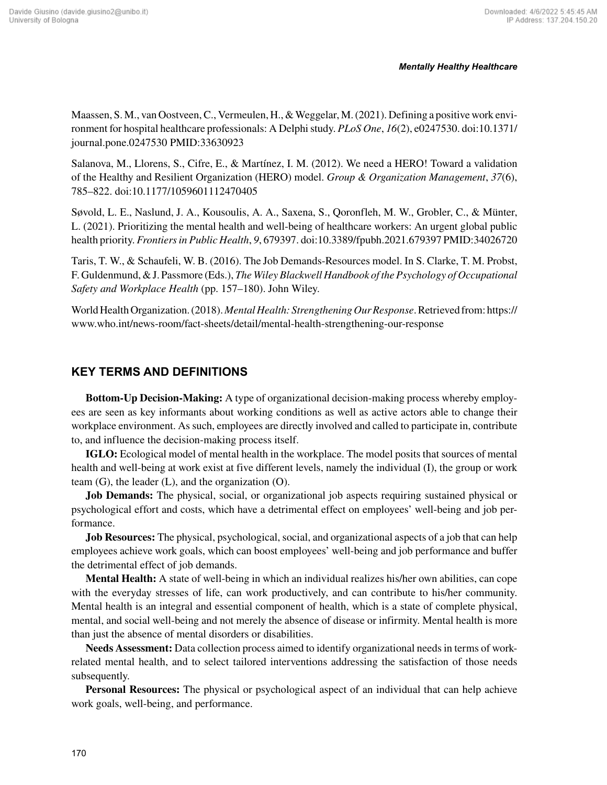Maassen, S. M., van Oostveen, C., Vermeulen, H., & Weggelar, M. (2021). Defining a positive work environment for hospital healthcare professionals: A Delphi study. *PLoS One*, *16*(2), e0247530. doi:10.1371/ journal.pone.0247530 PMID:33630923

Salanova, M., Llorens, S., Cifre, E., & Martínez, I. M. (2012). We need a HERO! Toward a validation of the Healthy and Resilient Organization (HERO) model. *Group & Organization Management*, *37*(6), 785–822. doi:10.1177/1059601112470405

Søvold, L. E., Naslund, J. A., Kousoulis, A. A., Saxena, S., Qoronfleh, M. W., Grobler, C., & Münter, L. (2021). Prioritizing the mental health and well-being of healthcare workers: An urgent global public health priority. *Frontiers in Public Health*, *9*, 679397. doi:10.3389/fpubh.2021.679397 PMID:34026720

Taris, T. W., & Schaufeli, W. B. (2016). The Job Demands-Resources model. In S. Clarke, T. M. Probst, F. Guldenmund, & J. Passmore (Eds.), *The Wiley Blackwell Handbook of the Psychology of Occupational Safety and Workplace Health* (pp. 157–180). John Wiley.

World Health Organization. (2018). *Mental Health: Strengthening Our Response*. Retrieved from: [https://](https://www.who.int/news-room/fact-sheets/detail/mental-health-strengthening-our-response) [www.who.int/news-room/fact-sheets/detail/mental-health-strengthening-our-response](https://www.who.int/news-room/fact-sheets/detail/mental-health-strengthening-our-response)

# **KEY TERMS AND DEFINITIONS**

**Bottom-Up Decision-Making:** A type of organizational decision-making process whereby employees are seen as key informants about working conditions as well as active actors able to change their workplace environment. As such, employees are directly involved and called to participate in, contribute to, and influence the decision-making process itself.

**IGLO:** Ecological model of mental health in the workplace. The model posits that sources of mental health and well-being at work exist at five different levels, namely the individual (I), the group or work team  $(G)$ , the leader  $(L)$ , and the organization  $(O)$ .

**Job Demands:** The physical, social, or organizational job aspects requiring sustained physical or psychological effort and costs, which have a detrimental effect on employees' well-being and job performance.

**Job Resources:** The physical, psychological, social, and organizational aspects of a job that can help employees achieve work goals, which can boost employees' well-being and job performance and buffer the detrimental effect of job demands.

**Mental Health:** A state of well-being in which an individual realizes his/her own abilities, can cope with the everyday stresses of life, can work productively, and can contribute to his/her community. Mental health is an integral and essential component of health, which is a state of complete physical, mental, and social well-being and not merely the absence of disease or infirmity. Mental health is more than just the absence of mental disorders or disabilities.

**Needs Assessment:** Data collection process aimed to identify organizational needs in terms of workrelated mental health, and to select tailored interventions addressing the satisfaction of those needs subsequently.

**Personal Resources:** The physical or psychological aspect of an individual that can help achieve work goals, well-being, and performance.